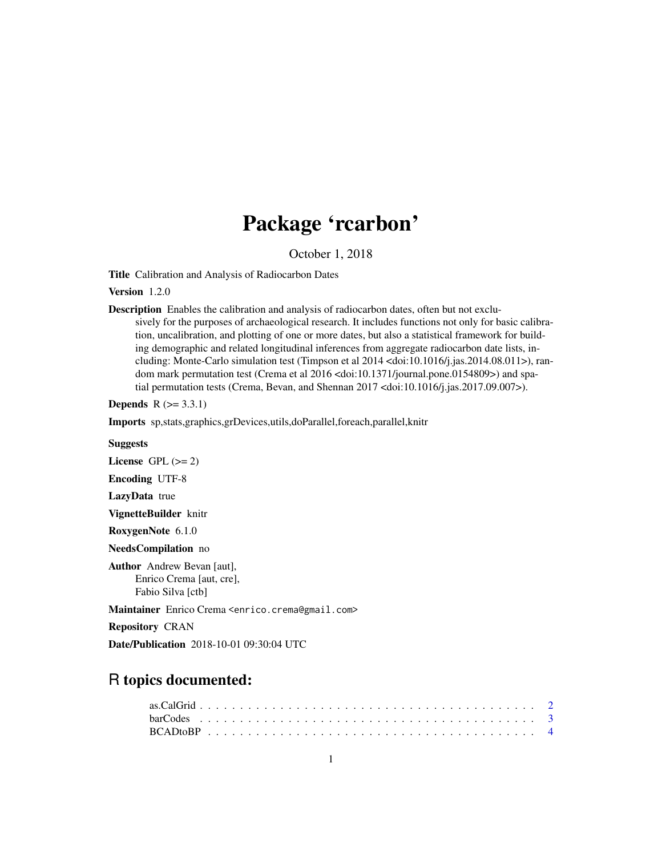## Package 'rcarbon'

October 1, 2018

<span id="page-0-0"></span>Title Calibration and Analysis of Radiocarbon Dates

Version 1.2.0

Description Enables the calibration and analysis of radiocarbon dates, often but not exclusively for the purposes of archaeological research. It includes functions not only for basic calibration, uncalibration, and plotting of one or more dates, but also a statistical framework for building demographic and related longitudinal inferences from aggregate radiocarbon date lists, including: Monte-Carlo simulation test (Timpson et al 2014 <doi:10.1016/j.jas.2014.08.011>), random mark permutation test (Crema et al 2016 <doi:10.1371/journal.pone.0154809>) and spatial permutation tests (Crema, Bevan, and Shennan 2017 <doi:10.1016/j.jas.2017.09.007>).

**Depends**  $R$  ( $>= 3.3.1$ )

Imports sp,stats,graphics,grDevices,utils,doParallel,foreach,parallel,knitr

#### Suggests

License GPL  $(>= 2)$ 

Encoding UTF-8

LazyData true

VignetteBuilder knitr

RoxygenNote 6.1.0

NeedsCompilation no

Author Andrew Bevan [aut], Enrico Crema [aut, cre], Fabio Silva [ctb]

Maintainer Enrico Crema <enrico.crema@gmail.com>

Repository CRAN

Date/Publication 2018-10-01 09:30:04 UTC

## R topics documented: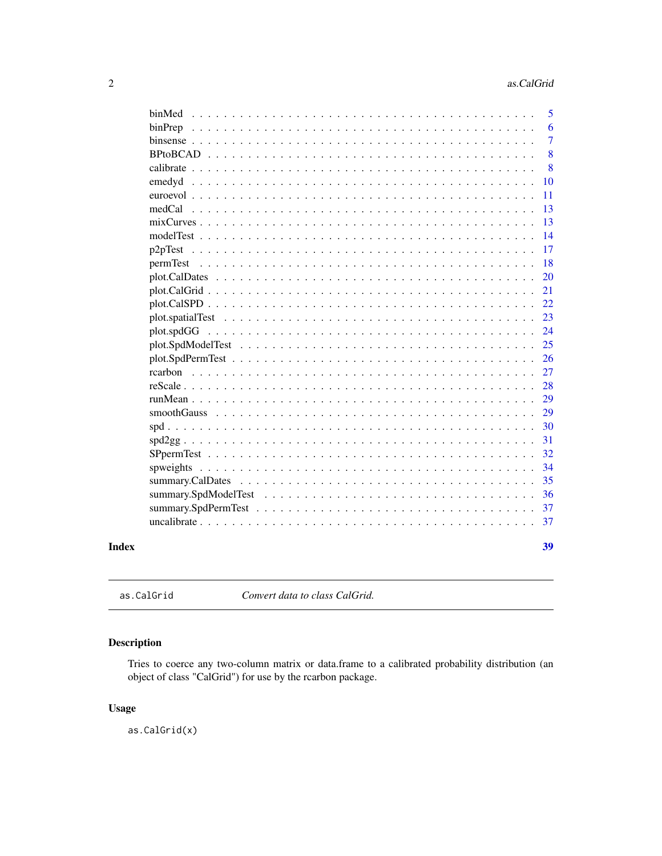<span id="page-1-0"></span>

|                   |  |  |  | 5              |
|-------------------|--|--|--|----------------|
|                   |  |  |  | 6              |
|                   |  |  |  | $\overline{7}$ |
|                   |  |  |  | 8              |
|                   |  |  |  | 8              |
|                   |  |  |  | 10             |
| euroevol          |  |  |  | 11             |
| $medCal$          |  |  |  | 13             |
| $mixCurves \dots$ |  |  |  | 13             |
|                   |  |  |  | 14             |
|                   |  |  |  | 17             |
|                   |  |  |  | 18             |
|                   |  |  |  | 20             |
|                   |  |  |  | 21             |
|                   |  |  |  | 22             |
|                   |  |  |  | 23             |
| plot.spdGG        |  |  |  | 24             |
|                   |  |  |  | 25             |
|                   |  |  |  | 26             |
|                   |  |  |  | 27             |
|                   |  |  |  | 28             |
|                   |  |  |  | 29             |
|                   |  |  |  | 29             |
|                   |  |  |  | 30             |
|                   |  |  |  | 31             |
|                   |  |  |  | 32             |
|                   |  |  |  | 34             |
|                   |  |  |  | 35             |
|                   |  |  |  | 36             |
|                   |  |  |  | 37             |
|                   |  |  |  | 37             |
|                   |  |  |  | 39             |
|                   |  |  |  |                |
|                   |  |  |  |                |

as.CalGrid *Convert data to class CalGrid.*

## Description

Tries to coerce any two-column matrix or data.frame to a calibrated probability distribution (an object of class "CalGrid") for use by the rcarbon package.

## Usage

as.CalGrid(x)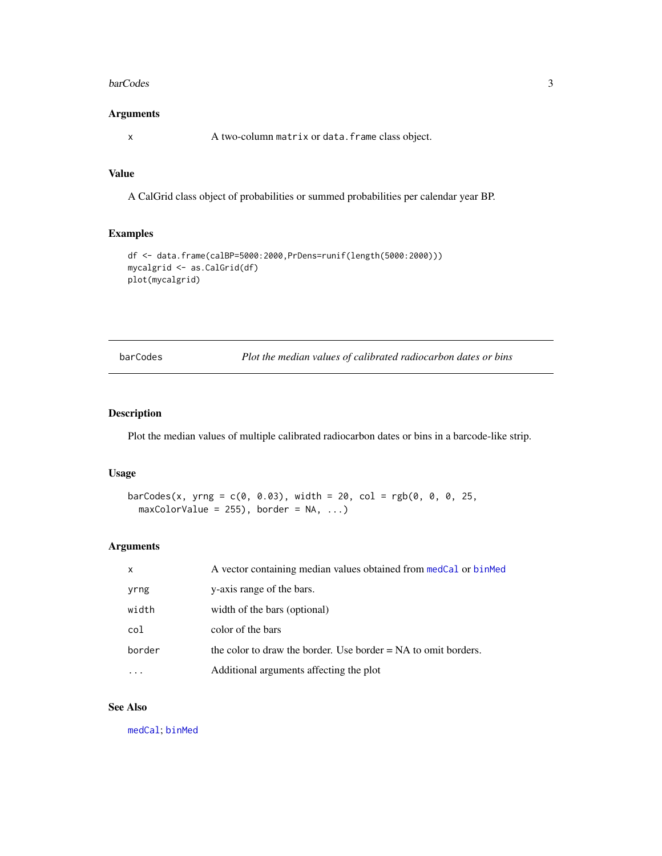#### <span id="page-2-0"></span>barCodes 3

## Arguments

x A two-column matrix or data.frame class object.

## Value

A CalGrid class object of probabilities or summed probabilities per calendar year BP.

## Examples

```
df <- data.frame(calBP=5000:2000,PrDens=runif(length(5000:2000)))
mycalgrid <- as.CalGrid(df)
plot(mycalgrid)
```
<span id="page-2-1"></span>barCodes *Plot the median values of calibrated radiocarbon dates or bins*

#### Description

Plot the median values of multiple calibrated radiocarbon dates or bins in a barcode-like strip.

#### Usage

```
barCodes(x, yrng = c(0, 0.03), width = 20, col = rgb(0, 0, 0, 25,maxColorValue = 255, border = NA, ...)
```
## Arguments

| $\mathsf{x}$ | A vector containing median values obtained from medCal or binMed |
|--------------|------------------------------------------------------------------|
| yrng         | y-axis range of the bars.                                        |
| width        | width of the bars (optional)                                     |
| col          | color of the bars                                                |
| border       | the color to draw the border. Use border $= NA$ to omit borders. |
|              | Additional arguments affecting the plot                          |

## See Also

[medCal](#page-12-1); [binMed](#page-4-1)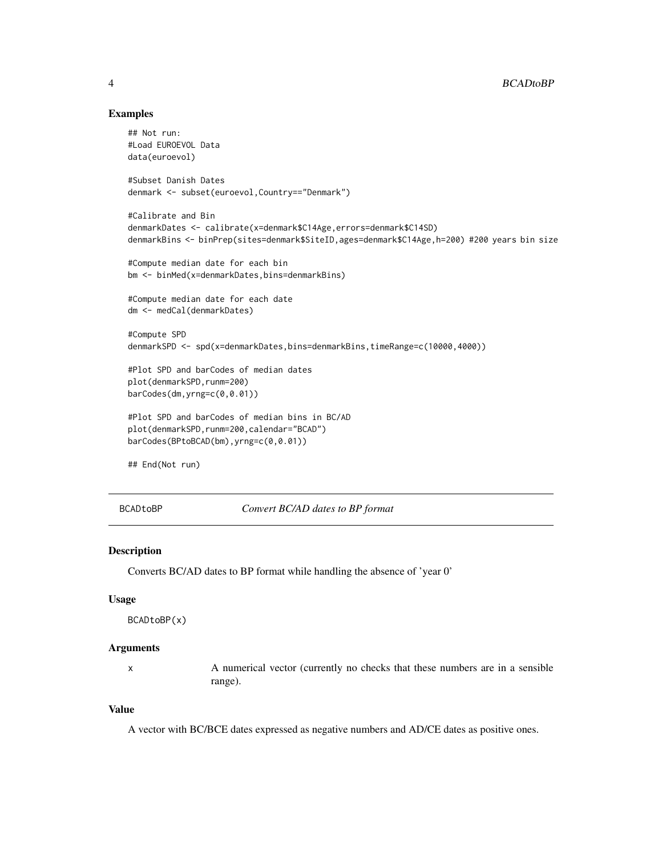## Examples

```
## Not run:
#Load EUROEVOL Data
data(euroevol)
#Subset Danish Dates
denmark <- subset(euroevol,Country=="Denmark")
#Calibrate and Bin
denmarkDates <- calibrate(x=denmark$C14Age,errors=denmark$C14SD)
denmarkBins <- binPrep(sites=denmark$SiteID,ages=denmark$C14Age,h=200) #200 years bin size
#Compute median date for each bin
bm <- binMed(x=denmarkDates,bins=denmarkBins)
#Compute median date for each date
dm <- medCal(denmarkDates)
#Compute SPD
denmarkSPD <- spd(x=denmarkDates,bins=denmarkBins,timeRange=c(10000,4000))
#Plot SPD and barCodes of median dates
plot(denmarkSPD,runm=200)
barCodes(dm,yrng=c(0,0.01))
#Plot SPD and barCodes of median bins in BC/AD
plot(denmarkSPD,runm=200,calendar="BCAD")
barCodes(BPtoBCAD(bm),yrng=c(0,0.01))
## End(Not run)
```
BCADtoBP *Convert BC/AD dates to BP format*

## Description

Converts BC/AD dates to BP format while handling the absence of 'year 0'

## Usage

```
BCADtoBP(x)
```
## Arguments

x A numerical vector (currently no checks that these numbers are in a sensible range).

## Value

A vector with BC/BCE dates expressed as negative numbers and AD/CE dates as positive ones.

<span id="page-3-0"></span>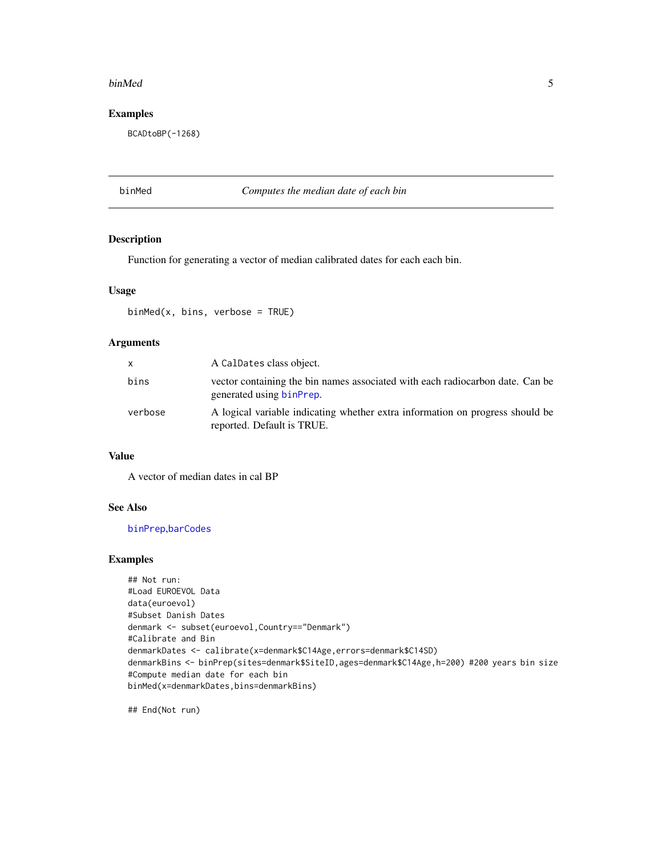#### <span id="page-4-0"></span>binMed 5

## Examples

BCADtoBP(-1268)

## <span id="page-4-1"></span>binMed *Computes the median date of each bin*

## Description

Function for generating a vector of median calibrated dates for each each bin.

## Usage

binMed(x, bins, verbose = TRUE)

## Arguments

| X       | A CalDates class object.                                                                                    |
|---------|-------------------------------------------------------------------------------------------------------------|
| bins    | vector containing the bin names associated with each radiocarbon date. Can be<br>generated using binPrep.   |
| verbose | A logical variable indicating whether extra information on progress should be<br>reported. Default is TRUE. |

#### Value

A vector of median dates in cal BP

## See Also

[binPrep](#page-5-1),[barCodes](#page-2-1)

## Examples

```
## Not run:
#Load EUROEVOL Data
data(euroevol)
#Subset Danish Dates
denmark <- subset(euroevol,Country=="Denmark")
#Calibrate and Bin
denmarkDates <- calibrate(x=denmark$C14Age,errors=denmark$C14SD)
denmarkBins <- binPrep(sites=denmark$SiteID,ages=denmark$C14Age,h=200) #200 years bin size
#Compute median date for each bin
binMed(x=denmarkDates,bins=denmarkBins)
```
## End(Not run)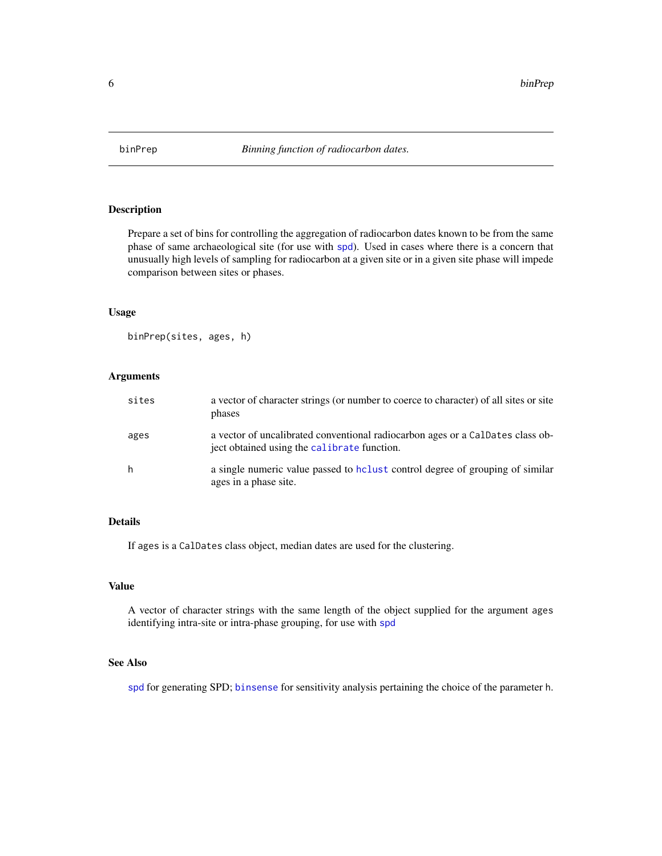<span id="page-5-1"></span><span id="page-5-0"></span>

Prepare a set of bins for controlling the aggregation of radiocarbon dates known to be from the same phase of same archaeological site (for use with [spd](#page-29-1)). Used in cases where there is a concern that unusually high levels of sampling for radiocarbon at a given site or in a given site phase will impede comparison between sites or phases.

#### Usage

binPrep(sites, ages, h)

#### Arguments

| sites | a vector of character strings (or number to coerce to character) of all sites or site<br>phases                               |
|-------|-------------------------------------------------------------------------------------------------------------------------------|
| ages  | a vector of uncalibrated conventional radiocarbon ages or a CalDates class ob-<br>ject obtained using the calibrate function. |
| h     | a single numeric value passed to holiest control degree of grouping of similar<br>ages in a phase site.                       |

#### Details

If ages is a CalDates class object, median dates are used for the clustering.

## Value

A vector of character strings with the same length of the object supplied for the argument ages identifying intra-site or intra-phase grouping, for use with [spd](#page-29-1)

## See Also

[spd](#page-29-1) for generating SPD; [binsense](#page-6-1) for sensitivity analysis pertaining the choice of the parameter h.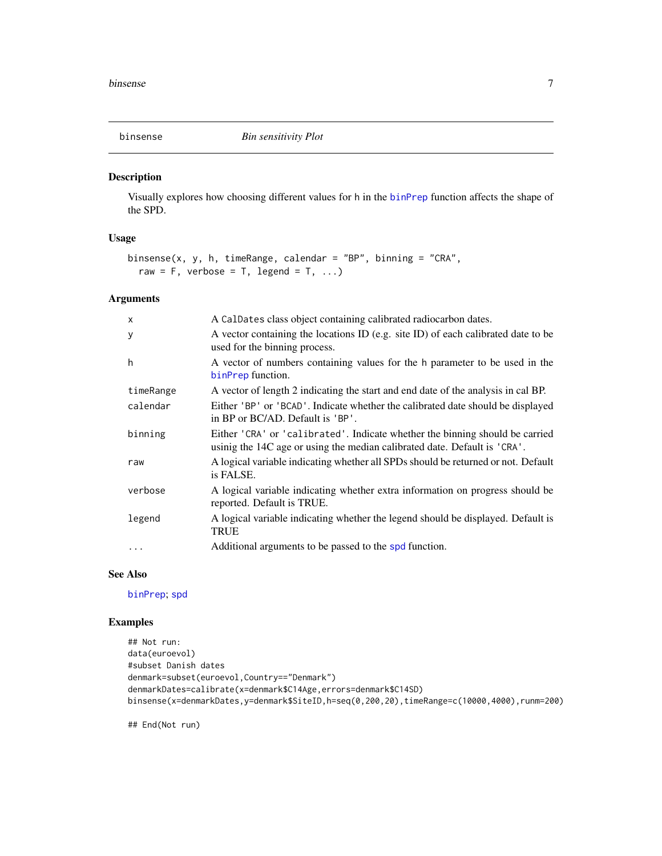<span id="page-6-1"></span><span id="page-6-0"></span>

Visually explores how choosing different values for h in the [binPrep](#page-5-1) function affects the shape of the SPD.

## Usage

```
binsense(x, y, h, timeRange, calendar = "BP", binning = "CRA",
  raw = F, verbose = T, legend = T, \dots)
```
## Arguments

| $\mathsf{x}$ | A CalDates class object containing calibrated radiocarbon dates.                                                                                          |
|--------------|-----------------------------------------------------------------------------------------------------------------------------------------------------------|
| У            | A vector containing the locations ID (e.g. site ID) of each calibrated date to be<br>used for the binning process.                                        |
| h            | A vector of numbers containing values for the h parameter to be used in the<br>binPrep function.                                                          |
| timeRange    | A vector of length 2 indicating the start and end date of the analysis in cal BP.                                                                         |
| calendar     | Either 'BP' or 'BCAD'. Indicate whether the calibrated date should be displayed<br>in BP or BC/AD. Default is 'BP'.                                       |
| binning      | Either 'CRA' or 'calibrated'. Indicate whether the binning should be carried<br>usinig the 14C age or using the median calibrated date. Default is 'CRA'. |
| raw          | A logical variable indicating whether all SPDs should be returned or not. Default<br>is FALSE.                                                            |
| verbose      | A logical variable indicating whether extra information on progress should be<br>reported. Default is TRUE.                                               |
| legend       | A logical variable indicating whether the legend should be displayed. Default is<br><b>TRUE</b>                                                           |
|              | Additional arguments to be passed to the spd function.                                                                                                    |

## See Also

[binPrep](#page-5-1); [spd](#page-29-1)

#### Examples

```
## Not run:
data(euroevol)
#subset Danish dates
denmark=subset(euroevol,Country=="Denmark")
denmarkDates=calibrate(x=denmark$C14Age,errors=denmark$C14SD)
binsense(x=denmarkDates,y=denmark$SiteID,h=seq(0,200,20),timeRange=c(10000,4000),runm=200)
```
## End(Not run)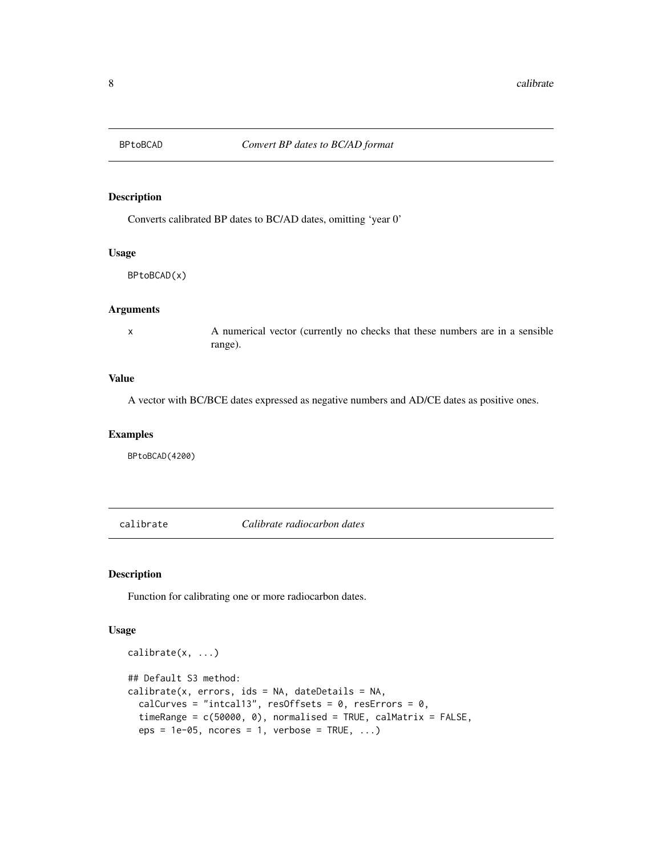<span id="page-7-0"></span>

Converts calibrated BP dates to BC/AD dates, omitting 'year 0'

#### Usage

BPtoBCAD(x)

## Arguments

x A numerical vector (currently no checks that these numbers are in a sensible range).

## Value

A vector with BC/BCE dates expressed as negative numbers and AD/CE dates as positive ones.

#### Examples

BPtoBCAD(4200)

<span id="page-7-1"></span>calibrate *Calibrate radiocarbon dates*

## Description

Function for calibrating one or more radiocarbon dates.

#### Usage

```
calibrate(x, ...)
## Default S3 method:
calinter(x, errors,ids = NA, dateDetails = NA,calCurves = "intcal13", resOffsets = 0, resErrors = 0,
  timeRange = c(50000, 0), normalised = TRUE, calMatrix = FALSE,
  eps = 1e-05, ncores = 1, verbose = TRUE, ...)
```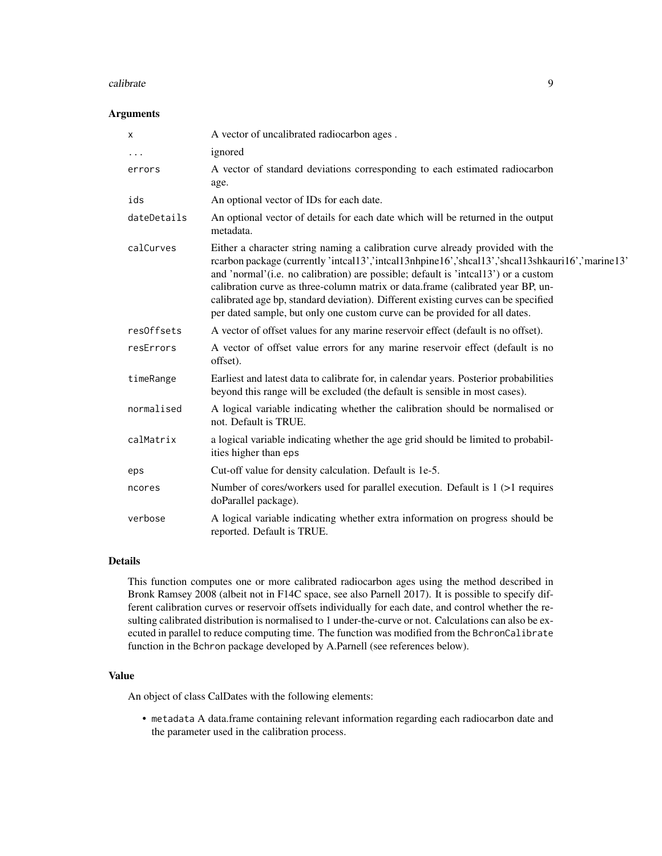#### calibrate 9

## Arguments

| X           | A vector of uncalibrated radiocarbon ages.                                                                                                                                                                                                                                                                                                                                                                                                                                                                                           |
|-------------|--------------------------------------------------------------------------------------------------------------------------------------------------------------------------------------------------------------------------------------------------------------------------------------------------------------------------------------------------------------------------------------------------------------------------------------------------------------------------------------------------------------------------------------|
| $\cdots$    | ignored                                                                                                                                                                                                                                                                                                                                                                                                                                                                                                                              |
| errors      | A vector of standard deviations corresponding to each estimated radiocarbon<br>age.                                                                                                                                                                                                                                                                                                                                                                                                                                                  |
| ids         | An optional vector of IDs for each date.                                                                                                                                                                                                                                                                                                                                                                                                                                                                                             |
| dateDetails | An optional vector of details for each date which will be returned in the output<br>metadata.                                                                                                                                                                                                                                                                                                                                                                                                                                        |
| calCurves   | Either a character string naming a calibration curve already provided with the<br>rcarbon package (currently 'intcal13', 'intcal13nhpine16', 'shcal13', 'shcal13shkauri16', 'marine13'<br>and 'normal' (i.e. no calibration) are possible; default is 'inteal13') or a custom<br>calibration curve as three-column matrix or data.frame (calibrated year BP, un-<br>calibrated age bp, standard deviation). Different existing curves can be specified<br>per dated sample, but only one custom curve can be provided for all dates. |
| resOffsets  | A vector of offset values for any marine reservoir effect (default is no offset).                                                                                                                                                                                                                                                                                                                                                                                                                                                    |
| resErrors   | A vector of offset value errors for any marine reservoir effect (default is no<br>offset).                                                                                                                                                                                                                                                                                                                                                                                                                                           |
| timeRange   | Earliest and latest data to calibrate for, in calendar years. Posterior probabilities<br>beyond this range will be excluded (the default is sensible in most cases).                                                                                                                                                                                                                                                                                                                                                                 |
| normalised  | A logical variable indicating whether the calibration should be normalised or<br>not. Default is TRUE.                                                                                                                                                                                                                                                                                                                                                                                                                               |
| calMatrix   | a logical variable indicating whether the age grid should be limited to probabil-<br>ities higher than eps                                                                                                                                                                                                                                                                                                                                                                                                                           |
| eps         | Cut-off value for density calculation. Default is 1e-5.                                                                                                                                                                                                                                                                                                                                                                                                                                                                              |
| ncores      | Number of cores/workers used for parallel execution. Default is 1 (>1 requires<br>doParallel package).                                                                                                                                                                                                                                                                                                                                                                                                                               |
| verbose     | A logical variable indicating whether extra information on progress should be<br>reported. Default is TRUE.                                                                                                                                                                                                                                                                                                                                                                                                                          |

## Details

This function computes one or more calibrated radiocarbon ages using the method described in Bronk Ramsey 2008 (albeit not in F14C space, see also Parnell 2017). It is possible to specify different calibration curves or reservoir offsets individually for each date, and control whether the resulting calibrated distribution is normalised to 1 under-the-curve or not. Calculations can also be executed in parallel to reduce computing time. The function was modified from the BchronCalibrate function in the Bchron package developed by A.Parnell (see references below).

#### Value

An object of class CalDates with the following elements:

• metadata A data.frame containing relevant information regarding each radiocarbon date and the parameter used in the calibration process.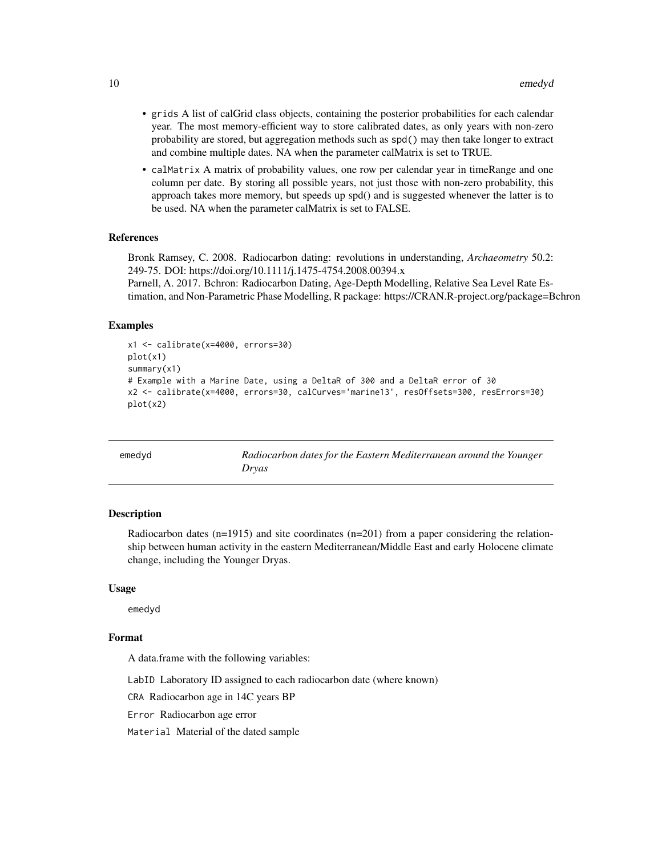- <span id="page-9-0"></span>• grids A list of calGrid class objects, containing the posterior probabilities for each calendar year. The most memory-efficient way to store calibrated dates, as only years with non-zero probability are stored, but aggregation methods such as spd() may then take longer to extract and combine multiple dates. NA when the parameter calMatrix is set to TRUE.
- calMatrix A matrix of probability values, one row per calendar year in timeRange and one column per date. By storing all possible years, not just those with non-zero probability, this approach takes more memory, but speeds up spd() and is suggested whenever the latter is to be used. NA when the parameter calMatrix is set to FALSE.

## References

Bronk Ramsey, C. 2008. Radiocarbon dating: revolutions in understanding, *Archaeometry* 50.2: 249-75. DOI: https://doi.org/10.1111/j.1475-4754.2008.00394.x

Parnell, A. 2017. Bchron: Radiocarbon Dating, Age-Depth Modelling, Relative Sea Level Rate Estimation, and Non-Parametric Phase Modelling, R package: https://CRAN.R-project.org/package=Bchron

#### Examples

```
x1 <- calibrate(x=4000, errors=30)
plot(x1)
summary(x1)
# Example with a Marine Date, using a DeltaR of 300 and a DeltaR error of 30
x2 <- calibrate(x=4000, errors=30, calCurves='marine13', resOffsets=300, resErrors=30)
plot(x2)
```

| emedyd | Radiocarbon dates for the Eastern Mediterranean around the Younger |
|--------|--------------------------------------------------------------------|
|        | Dryas                                                              |

#### **Description**

Radiocarbon dates ( $n=1915$ ) and site coordinates ( $n=201$ ) from a paper considering the relationship between human activity in the eastern Mediterranean/Middle East and early Holocene climate change, including the Younger Dryas.

#### Usage

emedyd

## Format

A data.frame with the following variables:

LabID Laboratory ID assigned to each radiocarbon date (where known)

CRA Radiocarbon age in 14C years BP

Error Radiocarbon age error

Material Material of the dated sample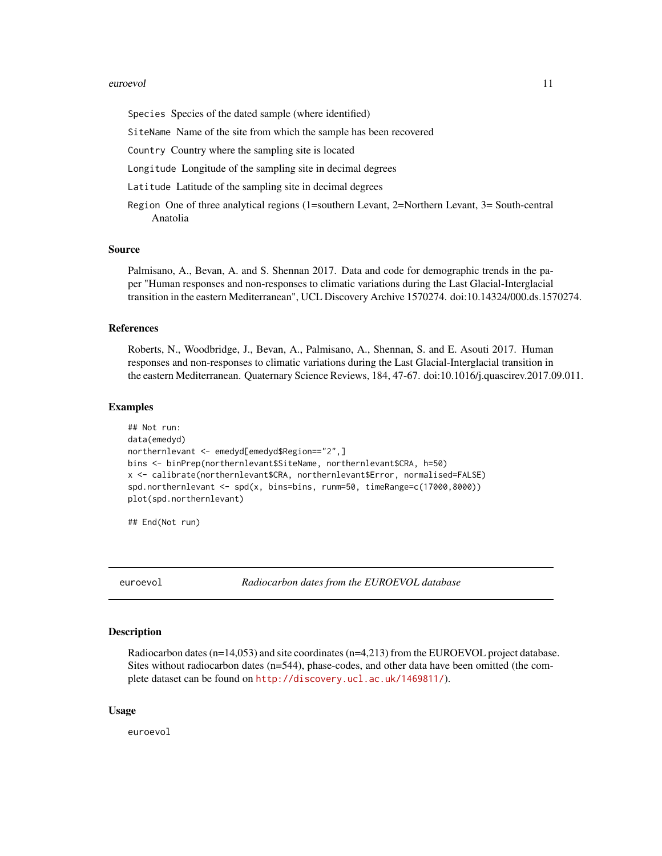#### <span id="page-10-0"></span>euroevol 11

Species Species of the dated sample (where identified)

SiteName Name of the site from which the sample has been recovered

Country Country where the sampling site is located

Longitude Longitude of the sampling site in decimal degrees

Latitude Latitude of the sampling site in decimal degrees

Region One of three analytical regions (1=southern Levant, 2=Northern Levant, 3= South-central Anatolia

#### Source

Palmisano, A., Bevan, A. and S. Shennan 2017. Data and code for demographic trends in the paper "Human responses and non-responses to climatic variations during the Last Glacial-Interglacial transition in the eastern Mediterranean", UCL Discovery Archive 1570274. doi:10.14324/000.ds.1570274.

#### References

Roberts, N., Woodbridge, J., Bevan, A., Palmisano, A., Shennan, S. and E. Asouti 2017. Human responses and non-responses to climatic variations during the Last Glacial-Interglacial transition in the eastern Mediterranean. Quaternary Science Reviews, 184, 47-67. doi:10.1016/j.quascirev.2017.09.011.

#### Examples

```
## Not run:
data(emedyd)
northernlevant <- emedyd[emedyd$Region=="2",]
bins <- binPrep(northernlevant$SiteName, northernlevant$CRA, h=50)
x <- calibrate(northernlevant$CRA, northernlevant$Error, normalised=FALSE)
spd.northernlevant <- spd(x, bins=bins, runm=50, timeRange=c(17000,8000))
plot(spd.northernlevant)
```
## End(Not run)

euroevol *Radiocarbon dates from the EUROEVOL database*

#### Description

Radiocarbon dates (n=14,053) and site coordinates (n=4,213) from the EUROEVOL project database. Sites without radiocarbon dates (n=544), phase-codes, and other data have been omitted (the complete dataset can be found on <http://discovery.ucl.ac.uk/1469811/>).

#### Usage

euroevol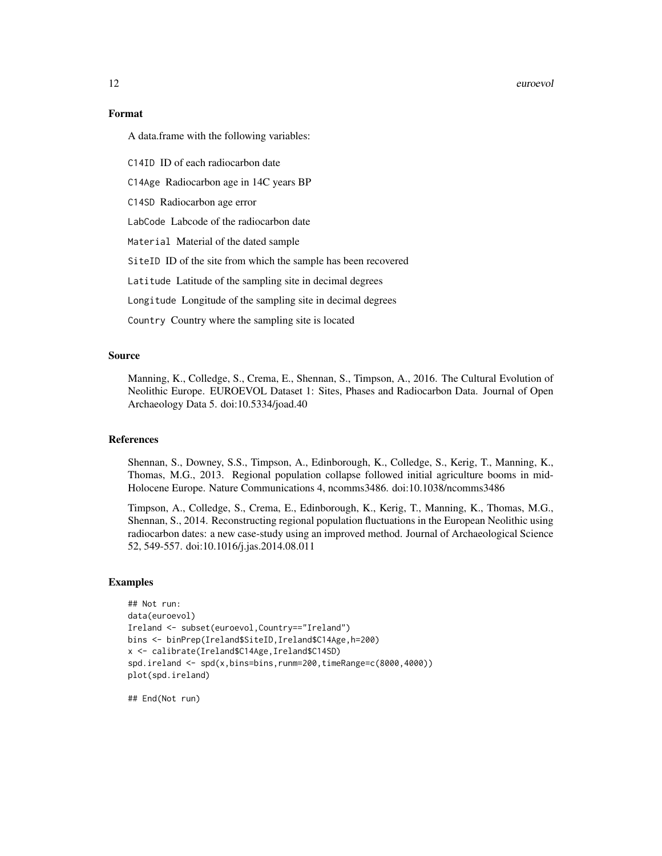#### 12 euroevol

## Format

A data.frame with the following variables:

C14ID ID of each radiocarbon date

C14Age Radiocarbon age in 14C years BP

C14SD Radiocarbon age error

LabCode Labcode of the radiocarbon date

Material Material of the dated sample

SiteID ID of the site from which the sample has been recovered

Latitude Latitude of the sampling site in decimal degrees

Longitude Longitude of the sampling site in decimal degrees

Country Country where the sampling site is located

### Source

Manning, K., Colledge, S., Crema, E., Shennan, S., Timpson, A., 2016. The Cultural Evolution of Neolithic Europe. EUROEVOL Dataset 1: Sites, Phases and Radiocarbon Data. Journal of Open Archaeology Data 5. doi:10.5334/joad.40

## References

Shennan, S., Downey, S.S., Timpson, A., Edinborough, K., Colledge, S., Kerig, T., Manning, K., Thomas, M.G., 2013. Regional population collapse followed initial agriculture booms in mid-Holocene Europe. Nature Communications 4, ncomms3486. doi:10.1038/ncomms3486

Timpson, A., Colledge, S., Crema, E., Edinborough, K., Kerig, T., Manning, K., Thomas, M.G., Shennan, S., 2014. Reconstructing regional population fluctuations in the European Neolithic using radiocarbon dates: a new case-study using an improved method. Journal of Archaeological Science 52, 549-557. doi:10.1016/j.jas.2014.08.011

#### Examples

```
## Not run:
data(euroevol)
Ireland <- subset(euroevol,Country=="Ireland")
bins <- binPrep(Ireland$SiteID,Ireland$C14Age,h=200)
x <- calibrate(Ireland$C14Age,Ireland$C14SD)
spd.ireland <- spd(x,bins=bins,runm=200,timeRange=c(8000,4000))
plot(spd.ireland)
```
## End(Not run)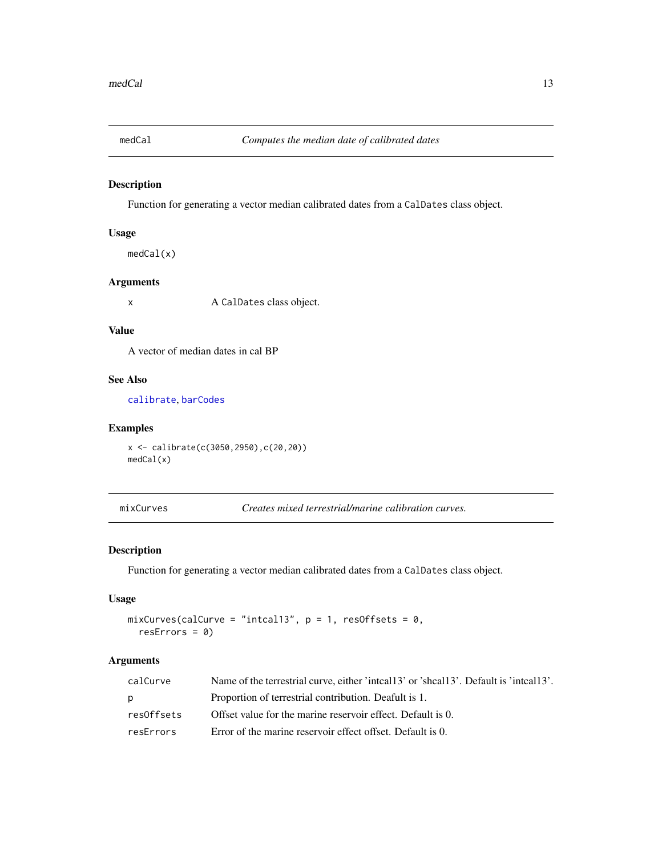<span id="page-12-1"></span><span id="page-12-0"></span>

Function for generating a vector median calibrated dates from a CalDates class object.

## Usage

medCal(x)

## Arguments

x A CalDates class object.

## Value

A vector of median dates in cal BP

## See Also

[calibrate](#page-7-1), [barCodes](#page-2-1)

## Examples

x <- calibrate(c(3050,2950),c(20,20)) medCal(x)

mixCurves *Creates mixed terrestrial/marine calibration curves.*

#### Description

Function for generating a vector median calibrated dates from a CalDates class object.

#### Usage

```
mixCurves(calCurve = "intcal13", p = 1, resOffsets = 0,
  resErrors = 0)
```

| calCurve   | Name of the terrestrial curve, either 'inteal 13' or 'sheal 13'. Default is 'inteal 13'. |
|------------|------------------------------------------------------------------------------------------|
| p          | Proportion of terrestrial contribution. Deafult is 1.                                    |
| res0ffsets | Offset value for the marine reservoir effect. Default is 0.                              |
| resErrors  | Error of the marine reservoir effect offset. Default is 0.                               |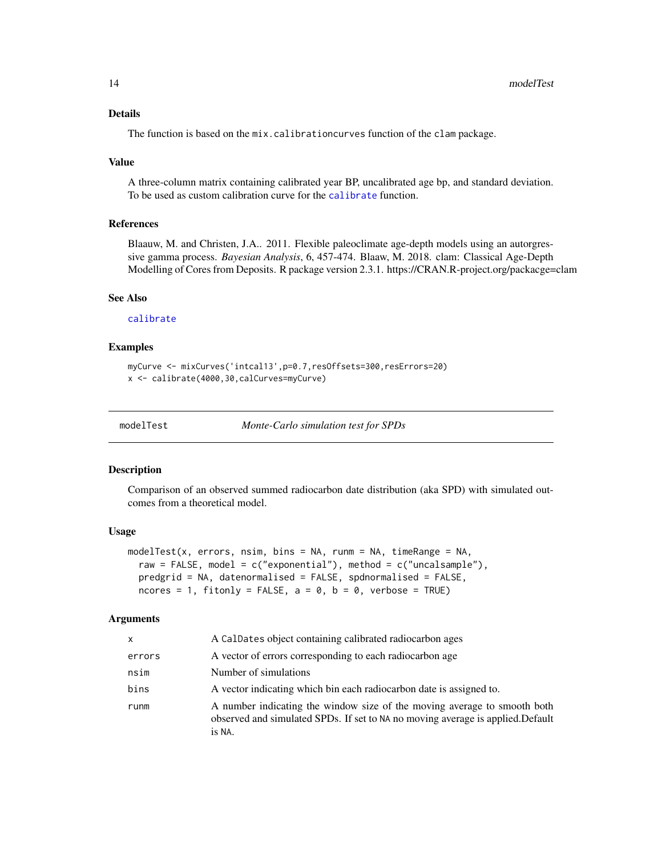## <span id="page-13-0"></span>Details

The function is based on the mix.calibrationcurves function of the clam package.

#### Value

A three-column matrix containing calibrated year BP, uncalibrated age bp, and standard deviation. To be used as custom calibration curve for the [calibrate](#page-7-1) function.

## References

Blaauw, M. and Christen, J.A.. 2011. Flexible paleoclimate age-depth models using an autorgressive gamma process. *Bayesian Analysis*, 6, 457-474. Blaaw, M. 2018. clam: Classical Age-Depth Modelling of Cores from Deposits. R package version 2.3.1. https://CRAN.R-project.org/packacge=clam

## See Also

#### [calibrate](#page-7-1)

## Examples

```
myCurve <- mixCurves('intcal13',p=0.7,resOffsets=300,resErrors=20)
x <- calibrate(4000,30,calCurves=myCurve)
```
<span id="page-13-1"></span>

modelTest *Monte-Carlo simulation test for SPDs*

#### Description

Comparison of an observed summed radiocarbon date distribution (aka SPD) with simulated outcomes from a theoretical model.

#### Usage

```
modelTest(x, errors, nsim, bins = NA, runm = NA, timeRange = NA,
 raw = FALSE, model = c("exponential"), method = c("uncalsample"),predgrid = NA, datenormalised = FALSE, spdnormalised = FALSE,
 ncores = 1, fitonly = FALSE, a = 0, b = 0, verbose = TRUE)
```

| x      | A CalDates object containing calibrated radiocarbon ages                                                                                                              |
|--------|-----------------------------------------------------------------------------------------------------------------------------------------------------------------------|
| errors | A vector of errors corresponding to each radiocarbon age                                                                                                              |
| nsim   | Number of simulations                                                                                                                                                 |
| bins   | A vector indicating which bin each radiocarbon date is assigned to.                                                                                                   |
| runm   | A number indicating the window size of the moving average to smooth both<br>observed and simulated SPDs. If set to NA no moving average is applied. Default<br>is NA. |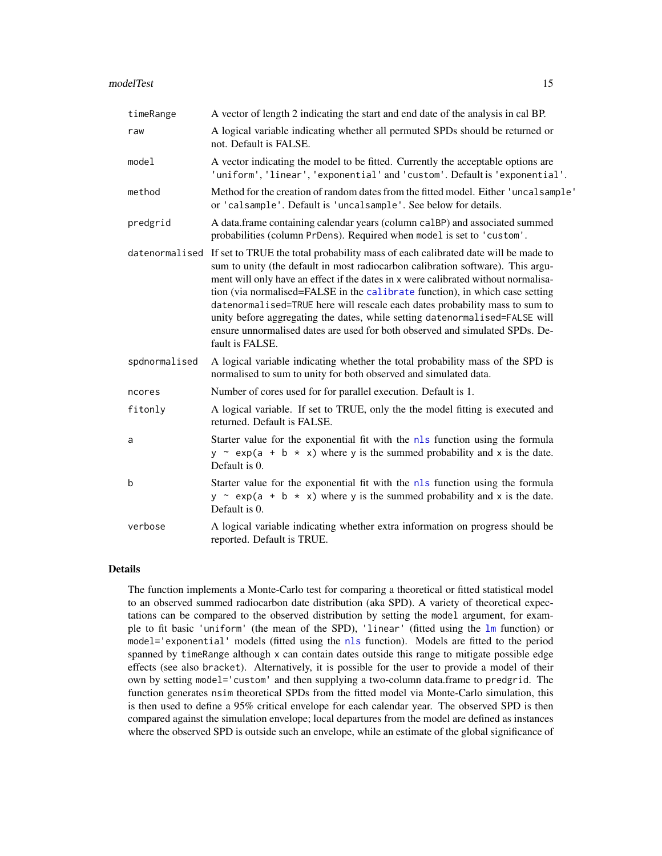<span id="page-14-0"></span>

| timeRange     | A vector of length 2 indicating the start and end date of the analysis in cal BP.                                                                                                                                                                                                                                                                                                                                                                                                                                                                                                                                          |
|---------------|----------------------------------------------------------------------------------------------------------------------------------------------------------------------------------------------------------------------------------------------------------------------------------------------------------------------------------------------------------------------------------------------------------------------------------------------------------------------------------------------------------------------------------------------------------------------------------------------------------------------------|
| raw           | A logical variable indicating whether all permuted SPDs should be returned or<br>not. Default is FALSE.                                                                                                                                                                                                                                                                                                                                                                                                                                                                                                                    |
| model         | A vector indicating the model to be fitted. Currently the acceptable options are<br>'uniform', 'linear', 'exponential' and 'custom'. Default is 'exponential'.                                                                                                                                                                                                                                                                                                                                                                                                                                                             |
| method        | Method for the creation of random dates from the fitted model. Either 'uncal sample'<br>or 'calsample'. Default is 'uncalsample'. See below for details.                                                                                                                                                                                                                                                                                                                                                                                                                                                                   |
| predgrid      | A data.frame containing calendar years (column calBP) and associated summed<br>probabilities (column PrDens). Required when model is set to 'custom'.                                                                                                                                                                                                                                                                                                                                                                                                                                                                      |
|               | datenormalised If set to TRUE the total probability mass of each calibrated date will be made to<br>sum to unity (the default in most radiocarbon calibration software). This argu-<br>ment will only have an effect if the dates in x were calibrated without normalisa-<br>tion (via normalised=FALSE in the calibrate function), in which case setting<br>datenormalised=TRUE here will rescale each dates probability mass to sum to<br>unity before aggregating the dates, while setting datenormalised=FALSE will<br>ensure unnormalised dates are used for both observed and simulated SPDs. De-<br>fault is FALSE. |
| spdnormalised | A logical variable indicating whether the total probability mass of the SPD is<br>normalised to sum to unity for both observed and simulated data.                                                                                                                                                                                                                                                                                                                                                                                                                                                                         |
| ncores        | Number of cores used for for parallel execution. Default is 1.                                                                                                                                                                                                                                                                                                                                                                                                                                                                                                                                                             |
| fitonly       | A logical variable. If set to TRUE, only the the model fitting is executed and<br>returned. Default is FALSE.                                                                                                                                                                                                                                                                                                                                                                                                                                                                                                              |
| a             | Starter value for the exponential fit with the nls function using the formula<br>$y \sim \exp(a + b \times x)$ where y is the summed probability and x is the date.<br>Default is 0.                                                                                                                                                                                                                                                                                                                                                                                                                                       |
| b             | Starter value for the exponential fit with the nls function using the formula<br>$y \sim \exp(a + b \times x)$ where y is the summed probability and x is the date.<br>Default is 0.                                                                                                                                                                                                                                                                                                                                                                                                                                       |
| verbose       | A logical variable indicating whether extra information on progress should be<br>reported. Default is TRUE.                                                                                                                                                                                                                                                                                                                                                                                                                                                                                                                |

#### Details

The function implements a Monte-Carlo test for comparing a theoretical or fitted statistical model to an observed summed radiocarbon date distribution (aka SPD). A variety of theoretical expectations can be compared to the observed distribution by setting the model argument, for example to fit basic 'uniform' (the mean of the SPD), 'linear' (fitted using the [lm](#page-0-0) function) or model='exponential' models (fitted using the [nls](#page-0-0) function). Models are fitted to the period spanned by timeRange although x can contain dates outside this range to mitigate possible edge effects (see also bracket). Alternatively, it is possible for the user to provide a model of their own by setting model='custom' and then supplying a two-column data.frame to predgrid. The function generates nsim theoretical SPDs from the fitted model via Monte-Carlo simulation, this is then used to define a 95% critical envelope for each calendar year. The observed SPD is then compared against the simulation envelope; local departures from the model are defined as instances where the observed SPD is outside such an envelope, while an estimate of the global significance of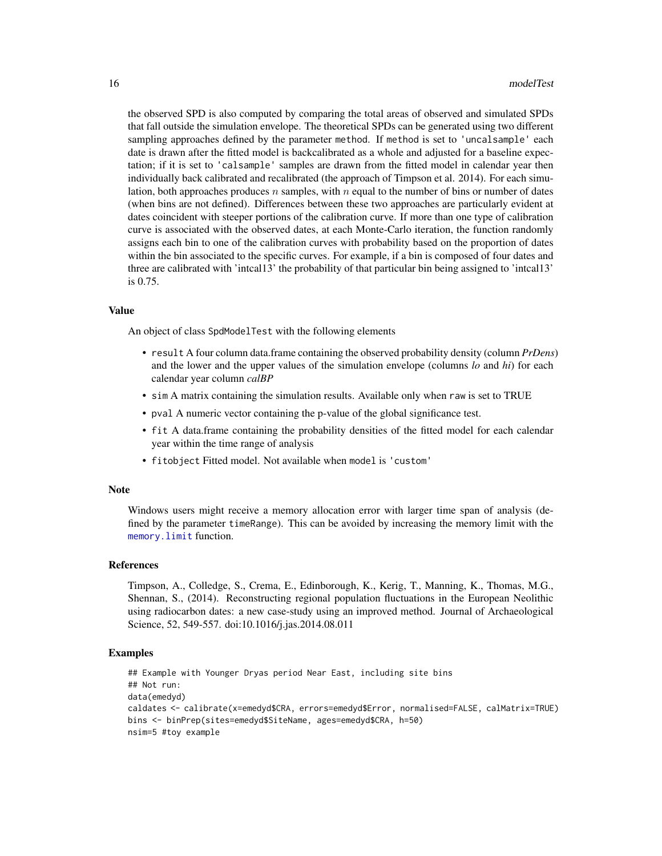the observed SPD is also computed by comparing the total areas of observed and simulated SPDs that fall outside the simulation envelope. The theoretical SPDs can be generated using two different sampling approaches defined by the parameter method. If method is set to 'uncalsample' each date is drawn after the fitted model is backcalibrated as a whole and adjusted for a baseline expectation; if it is set to 'calsample' samples are drawn from the fitted model in calendar year then individually back calibrated and recalibrated (the approach of Timpson et al. 2014). For each simulation, both approaches produces n samples, with n equal to the number of bins or number of dates (when bins are not defined). Differences between these two approaches are particularly evident at dates coincident with steeper portions of the calibration curve. If more than one type of calibration curve is associated with the observed dates, at each Monte-Carlo iteration, the function randomly assigns each bin to one of the calibration curves with probability based on the proportion of dates within the bin associated to the specific curves. For example, if a bin is composed of four dates and three are calibrated with 'intcal13' the probability of that particular bin being assigned to 'intcal13' is 0.75.

#### Value

An object of class SpdModelTest with the following elements

- result A four column data.frame containing the observed probability density (column *PrDens*) and the lower and the upper values of the simulation envelope (columns *lo* and *hi*) for each calendar year column *calBP*
- sim A matrix containing the simulation results. Available only when raw is set to TRUE
- pval A numeric vector containing the p-value of the global significance test.
- fit A data.frame containing the probability densities of the fitted model for each calendar year within the time range of analysis
- fitobject Fitted model. Not available when model is 'custom'

#### **Note**

Windows users might receive a memory allocation error with larger time span of analysis (defined by the parameter timeRange). This can be avoided by increasing the memory limit with the [memory.limit](#page-0-0) function.

#### References

Timpson, A., Colledge, S., Crema, E., Edinborough, K., Kerig, T., Manning, K., Thomas, M.G., Shennan, S., (2014). Reconstructing regional population fluctuations in the European Neolithic using radiocarbon dates: a new case-study using an improved method. Journal of Archaeological Science, 52, 549-557. doi:10.1016/j.jas.2014.08.011

#### Examples

```
## Example with Younger Dryas period Near East, including site bins
## Not run:
data(emedyd)
caldates <- calibrate(x=emedyd$CRA, errors=emedyd$Error, normalised=FALSE, calMatrix=TRUE)
bins <- binPrep(sites=emedyd$SiteName, ages=emedyd$CRA, h=50)
nsim=5 #toy example
```
<span id="page-15-0"></span>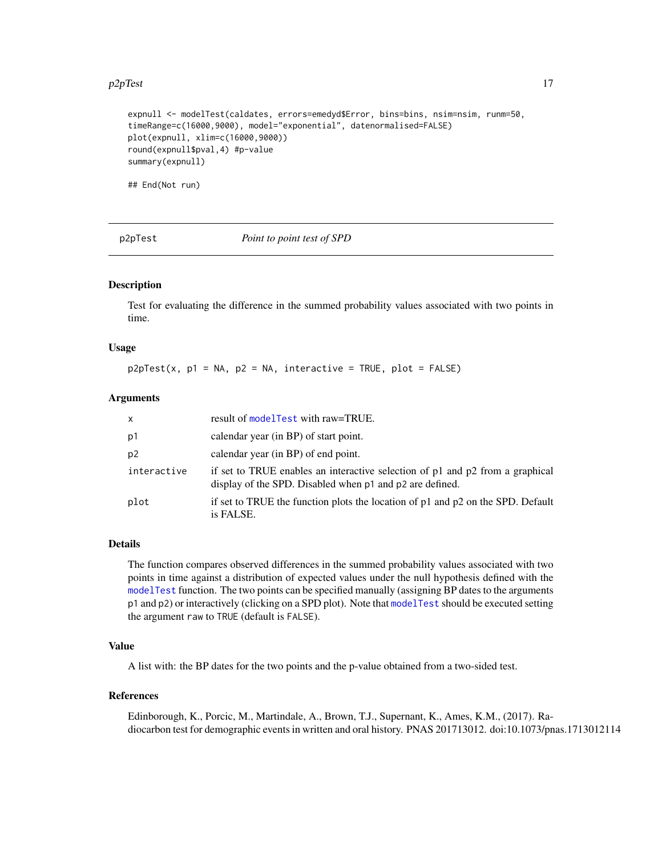#### <span id="page-16-0"></span> $p2pTest$  17

```
expnull <- modelTest(caldates, errors=emedyd$Error, bins=bins, nsim=nsim, runm=50,
timeRange=c(16000,9000), model="exponential", datenormalised=FALSE)
plot(expnull, xlim=c(16000,9000))
round(expnull$pval,4) #p-value
summary(expnull)
```
<span id="page-16-1"></span>

## End(Not run)

p2pTest *Point to point test of SPD*

#### Description

Test for evaluating the difference in the summed probability values associated with two points in time.

#### Usage

 $p2pTest(x, p1 = NA, p2 = NA, interactive = TRUE, plot = FALSE)$ 

## Arguments

| $\mathsf{x}$   | result of model Test with raw=TRUE.                                                                                                       |
|----------------|-------------------------------------------------------------------------------------------------------------------------------------------|
| p1             | calendar year (in BP) of start point.                                                                                                     |
| p <sub>2</sub> | calendar year (in BP) of end point.                                                                                                       |
| interactive    | if set to TRUE enables an interactive selection of p1 and p2 from a graphical<br>display of the SPD. Disabled when p1 and p2 are defined. |
| plot           | if set to TRUE the function plots the location of $p1$ and $p2$ on the SPD. Default<br>is FALSE.                                          |

#### Details

The function compares observed differences in the summed probability values associated with two points in time against a distribution of expected values under the null hypothesis defined with the [modelTest](#page-13-1) function. The two points can be specified manually (assigning BP dates to the arguments p1 and p2) or interactively (clicking on a SPD plot). Note that [modelTest](#page-13-1) should be executed setting the argument raw to TRUE (default is FALSE).

## Value

A list with: the BP dates for the two points and the p-value obtained from a two-sided test.

#### References

Edinborough, K., Porcic, M., Martindale, A., Brown, T.J., Supernant, K., Ames, K.M., (2017). Radiocarbon test for demographic events in written and oral history. PNAS 201713012. doi:10.1073/pnas.1713012114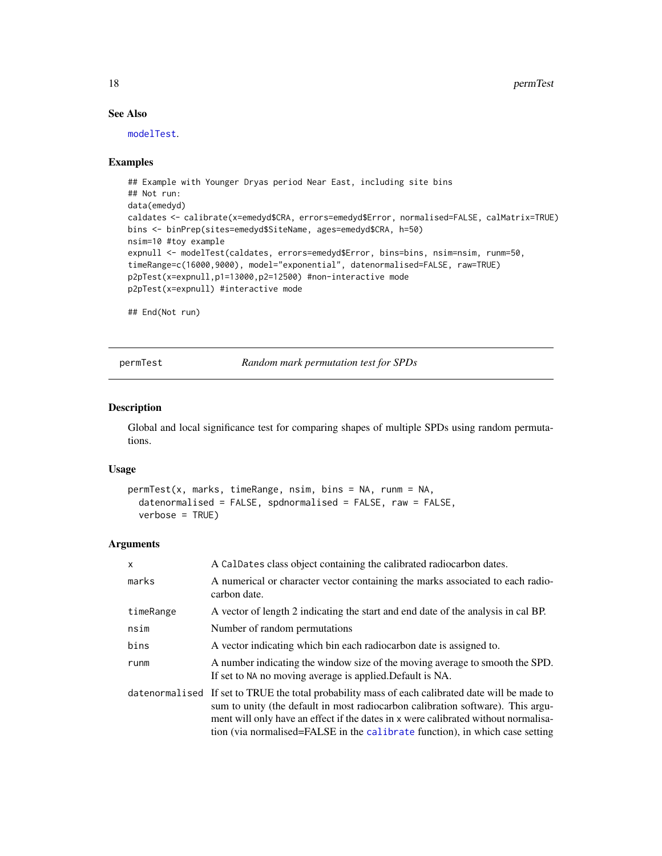18 permTest and the set of the set of the set of the set of the set of the set of the set of the set of the set of the set of the set of the set of the set of the set of the set of the set of the set of the set of the set

## See Also

[modelTest](#page-13-1).

#### Examples

```
## Example with Younger Dryas period Near East, including site bins
## Not run:
data(emedyd)
caldates <- calibrate(x=emedyd$CRA, errors=emedyd$Error, normalised=FALSE, calMatrix=TRUE)
bins <- binPrep(sites=emedyd$SiteName, ages=emedyd$CRA, h=50)
nsim=10 #toy example
expnull <- modelTest(caldates, errors=emedyd$Error, bins=bins, nsim=nsim, runm=50,
timeRange=c(16000,9000), model="exponential", datenormalised=FALSE, raw=TRUE)
p2pTest(x=expnull,p1=13000,p2=12500) #non-interactive mode
p2pTest(x=expnull) #interactive mode
```
## End(Not run)

<span id="page-17-1"></span>permTest *Random mark permutation test for SPDs*

#### Description

Global and local significance test for comparing shapes of multiple SPDs using random permutations.

## Usage

```
permTest(x, marks, timeRange, nsim, bins = NA, runm = NA,
 datenormalised = FALSE, spdnormalised = FALSE, raw = FALSE,
 verbose = TRUE)
```

| X         | A CalDates class object containing the calibrated radiocarbon dates.                                                                                                                                                                                                                                                                                      |
|-----------|-----------------------------------------------------------------------------------------------------------------------------------------------------------------------------------------------------------------------------------------------------------------------------------------------------------------------------------------------------------|
| marks     | A numerical or character vector containing the marks associated to each radio-<br>carbon date.                                                                                                                                                                                                                                                            |
| timeRange | A vector of length 2 indicating the start and end date of the analysis in cal BP.                                                                                                                                                                                                                                                                         |
| nsim      | Number of random permutations                                                                                                                                                                                                                                                                                                                             |
| bins      | A vector indicating which bin each radiocarbon date is assigned to.                                                                                                                                                                                                                                                                                       |
| runm      | A number indicating the window size of the moving average to smooth the SPD.<br>If set to NA no moving average is applied. Default is NA.                                                                                                                                                                                                                 |
|           | datenormalised If set to TRUE the total probability mass of each calibrated date will be made to<br>sum to unity (the default in most radiocarbon calibration software). This argu-<br>ment will only have an effect if the dates in x were calibrated without normalisa-<br>tion (via normalised=FALSE in the calibrate function), in which case setting |

<span id="page-17-0"></span>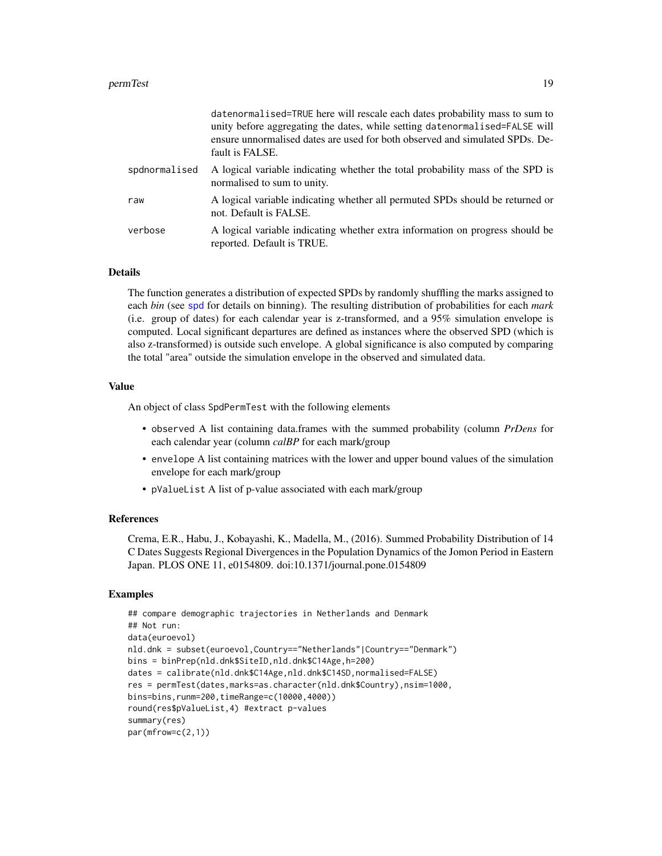<span id="page-18-0"></span>

|               | datenormalised=TRUE here will rescale each dates probability mass to sum to<br>unity before aggregating the dates, while setting datenormalised=FALSE will<br>ensure unnormalised dates are used for both observed and simulated SPDs. De-<br>fault is FALSE. |
|---------------|---------------------------------------------------------------------------------------------------------------------------------------------------------------------------------------------------------------------------------------------------------------|
| spdnormalised | A logical variable indicating whether the total probability mass of the SPD is<br>normalised to sum to unity.                                                                                                                                                 |
| raw           | A logical variable indicating whether all permuted SPDs should be returned or<br>not. Default is FALSE.                                                                                                                                                       |
| verbose       | A logical variable indicating whether extra information on progress should be<br>reported. Default is TRUE.                                                                                                                                                   |

#### Details

The function generates a distribution of expected SPDs by randomly shuffling the marks assigned to each *bin* (see [spd](#page-29-1) for details on binning). The resulting distribution of probabilities for each *mark* (i.e. group of dates) for each calendar year is z-transformed, and a 95% simulation envelope is computed. Local significant departures are defined as instances where the observed SPD (which is also z-transformed) is outside such envelope. A global significance is also computed by comparing the total "area" outside the simulation envelope in the observed and simulated data.

## Value

An object of class SpdPermTest with the following elements

- observed A list containing data.frames with the summed probability (column *PrDens* for each calendar year (column *calBP* for each mark/group
- envelope A list containing matrices with the lower and upper bound values of the simulation envelope for each mark/group
- pValueList A list of p-value associated with each mark/group

#### References

Crema, E.R., Habu, J., Kobayashi, K., Madella, M., (2016). Summed Probability Distribution of 14 C Dates Suggests Regional Divergences in the Population Dynamics of the Jomon Period in Eastern Japan. PLOS ONE 11, e0154809. doi:10.1371/journal.pone.0154809

## Examples

```
## compare demographic trajectories in Netherlands and Denmark
## Not run:
data(euroevol)
nld.dnk = subset(euroevol,Country=="Netherlands"|Country=="Denmark")
bins = binPrep(nld.dnk$SiteID,nld.dnk$C14Age,h=200)
dates = calibrate(nld.dnk$C14Age,nld.dnk$C14SD,normalised=FALSE)
res = permTest(dates,marks=as.character(nld.dnk$Country),nsim=1000,
bins=bins,runm=200,timeRange=c(10000,4000))
round(res$pValueList,4) #extract p-values
summary(res)
par(mfrow=c(2,1))
```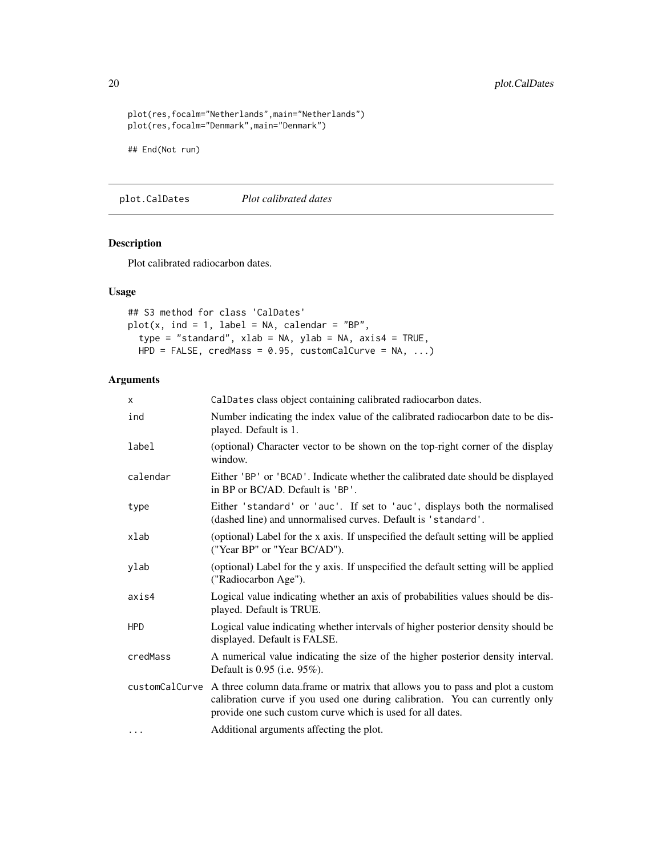```
plot(res,focalm="Netherlands",main="Netherlands")
plot(res,focalm="Denmark",main="Denmark")
## End(Not run)
```
plot.CalDates *Plot calibrated dates*

## Description

Plot calibrated radiocarbon dates.

## Usage

```
## S3 method for class 'CalDates'
plot(x, ind = 1, label = NA, calendar = "BP",type = "standard", xlab = NA, ylab = NA, axis4 = TRUE,
 HPD = FALSE, credMass = 0.95, customCalCurve = NA, ...)
```

| $\times$   | CalDates class object containing calibrated radiocarbon dates.                                                                                                                                                                             |
|------------|--------------------------------------------------------------------------------------------------------------------------------------------------------------------------------------------------------------------------------------------|
| ind        | Number indicating the index value of the calibrated radiocarbon date to be dis-<br>played. Default is 1.                                                                                                                                   |
| label      | (optional) Character vector to be shown on the top-right corner of the display<br>window.                                                                                                                                                  |
| calendar   | Either 'BP' or 'BCAD'. Indicate whether the calibrated date should be displayed<br>in BP or BC/AD. Default is 'BP'.                                                                                                                        |
| type       | Either 'standard' or 'auc'. If set to 'auc', displays both the normalised<br>(dashed line) and unnormalised curves. Default is 'standard'.                                                                                                 |
| xlab       | (optional) Label for the x axis. If unspecified the default setting will be applied<br>("Year BP" or "Year BC/AD").                                                                                                                        |
| ylab       | (optional) Label for the y axis. If unspecified the default setting will be applied<br>("Radiocarbon Age").                                                                                                                                |
| axis4      | Logical value indicating whether an axis of probabilities values should be dis-<br>played. Default is TRUE.                                                                                                                                |
| <b>HPD</b> | Logical value indicating whether intervals of higher posterior density should be<br>displayed. Default is FALSE.                                                                                                                           |
| credMass   | A numerical value indicating the size of the higher posterior density interval.<br>Default is 0.95 (i.e. 95%).                                                                                                                             |
|            | customCa1Curve A three column data.frame or matrix that allows you to pass and plot a custom<br>calibration curve if you used one during calibration. You can currently only<br>provide one such custom curve which is used for all dates. |
| $\cdots$   | Additional arguments affecting the plot.                                                                                                                                                                                                   |

<span id="page-19-0"></span>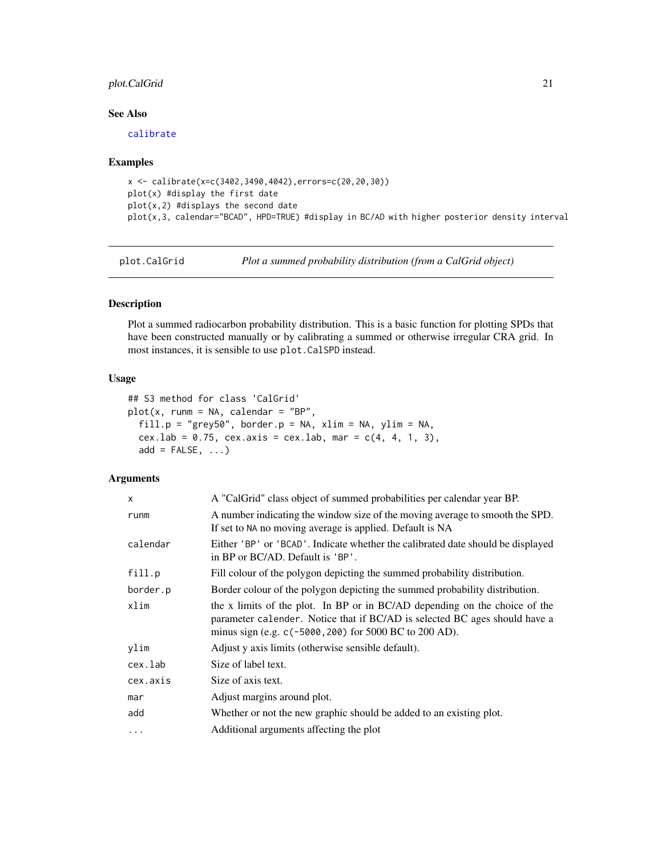## <span id="page-20-0"></span>plot.CalGrid 21

## See Also

[calibrate](#page-7-1)

#### Examples

```
x <- calibrate(x=c(3402,3490,4042),errors=c(20,20,30))
plot(x) #display the first date
plot(x,2) #displays the second date
plot(x,3, calendar="BCAD", HPD=TRUE) #display in BC/AD with higher posterior density interval
```
<span id="page-20-1"></span>plot.CalGrid *Plot a summed probability distribution (from a CalGrid object)*

## Description

Plot a summed radiocarbon probability distribution. This is a basic function for plotting SPDs that have been constructed manually or by calibrating a summed or otherwise irregular CRA grid. In most instances, it is sensible to use plot.CalSPD instead.

## Usage

```
## S3 method for class 'CalGrid'
plot(x, runm = NA, calendar = "BP",fill.p = "grey50", border.p = NA, xlim = NA, ylim = NA,
 cex.lab = 0.75, cex.axis = cex.lab, mar = c(4, 4, 1, 3),
  add = FALSE, ...)
```

| x        | A "CalGrid" class object of summed probabilities per calendar year BP.                                                                                                                                             |
|----------|--------------------------------------------------------------------------------------------------------------------------------------------------------------------------------------------------------------------|
| runm     | A number indicating the window size of the moving average to smooth the SPD.<br>If set to NA no moving average is applied. Default is NA                                                                           |
| calendar | Either 'BP' or 'BCAD'. Indicate whether the calibrated date should be displayed<br>in BP or BC/AD. Default is 'BP'.                                                                                                |
| fill.p   | Fill colour of the polygon depicting the summed probability distribution.                                                                                                                                          |
| border.p | Border colour of the polygon depicting the summed probability distribution.                                                                                                                                        |
| xlim     | the x limits of the plot. In BP or in BC/AD depending on the choice of the<br>parameter calender. Notice that if BC/AD is selected BC ages should have a<br>minus sign (e.g. c(-5000, 200) for 5000 BC to 200 AD). |
| vlim     | Adjust y axis limits (otherwise sensible default).                                                                                                                                                                 |
| cex.lab  | Size of label text.                                                                                                                                                                                                |
| cex.axis | Size of axis text.                                                                                                                                                                                                 |
| mar      | Adjust margins around plot.                                                                                                                                                                                        |
| add      | Whether or not the new graphic should be added to an existing plot.                                                                                                                                                |
| $\cdots$ | Additional arguments affecting the plot                                                                                                                                                                            |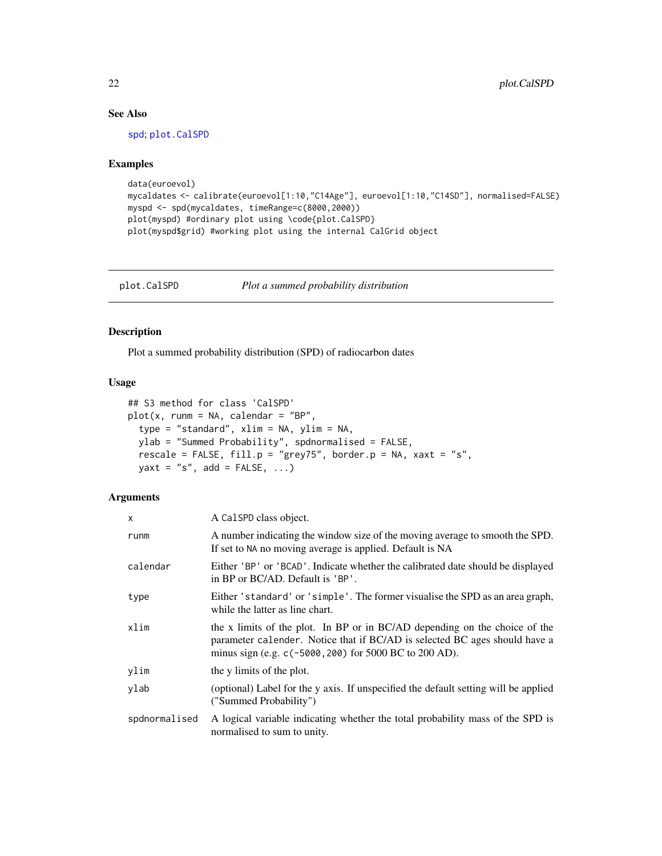## See Also

[spd](#page-29-1); [plot.CalSPD](#page-21-1)

#### Examples

```
data(euroevol)
mycaldates <- calibrate(euroevol[1:10,"C14Age"], euroevol[1:10,"C14SD"], normalised=FALSE)
myspd <- spd(mycaldates, timeRange=c(8000,2000))
plot(myspd) #ordinary plot using \code{plot.CalSPD}
plot(myspd$grid) #working plot using the internal CalGrid object
```
<span id="page-21-1"></span>plot.CalSPD *Plot a summed probability distribution*

## Description

Plot a summed probability distribution (SPD) of radiocarbon dates

#### Usage

```
## S3 method for class 'CalSPD'
plot(x, runm = NA, calendar = "BP",type = "standard", xlim = NA, ylim = NA,
 ylab = "Summed Probability", spdnormalised = FALSE,
 rescale = FALSE, fill.p = "grey75", border.p = NA, xaxt = "s",
 yaxt = "s", add = FALSE, ...)
```

| $\mathsf{x}$  | A CalSPD class object.                                                                                                                                                                                               |
|---------------|----------------------------------------------------------------------------------------------------------------------------------------------------------------------------------------------------------------------|
| runm          | A number indicating the window size of the moving average to smooth the SPD.<br>If set to NA no moving average is applied. Default is NA                                                                             |
| calendar      | Either 'BP' or 'BCAD'. Indicate whether the calibrated date should be displayed<br>in BP or BC/AD. Default is 'BP'.                                                                                                  |
| type          | Either 'standard' or 'simple'. The former visualise the SPD as an area graph,<br>while the latter as line chart.                                                                                                     |
| xlim          | the x limits of the plot. In BP or in BC/AD depending on the choice of the<br>parameter calender. Notice that if BC/AD is selected BC ages should have a<br>minus sign (e.g. $c(-5000, 200)$ for 5000 BC to 200 AD). |
| ylim          | the y limits of the plot.                                                                                                                                                                                            |
| ylab          | (optional) Label for the y axis. If unspecified the default setting will be applied<br>("Summed Probability")                                                                                                        |
| spdnormalised | A logical variable indicating whether the total probability mass of the SPD is<br>normalised to sum to unity.                                                                                                        |

<span id="page-21-0"></span>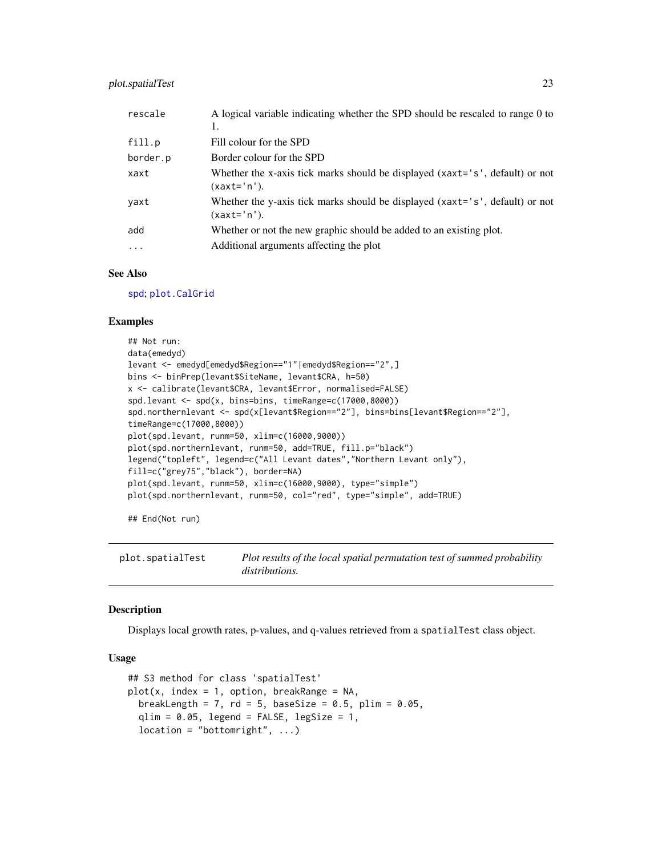## <span id="page-22-0"></span>plot.spatialTest 23

| rescale   | A logical variable indicating whether the SPD should be rescaled to range 0 to<br>1.          |
|-----------|-----------------------------------------------------------------------------------------------|
| fill.p    | Fill colour for the SPD                                                                       |
| border.p  | Border colour for the SPD                                                                     |
| xaxt      | Whether the x-axis tick marks should be displayed (xaxt='s', default) or not<br>$(xaxt='n').$ |
| yaxt      | Whether the y-axis tick marks should be displayed (xaxt='s', default) or not<br>$(xaxt='n').$ |
| add       | Whether or not the new graphic should be added to an existing plot.                           |
| $\ddotsc$ | Additional arguments affecting the plot                                                       |
|           |                                                                                               |

## See Also

[spd](#page-29-1); [plot.CalGrid](#page-20-1)

#### Examples

```
## Not run:
data(emedyd)
levant <- emedyd[emedyd$Region=="1"|emedyd$Region=="2",]
bins <- binPrep(levant$SiteName, levant$CRA, h=50)
x <- calibrate(levant$CRA, levant$Error, normalised=FALSE)
spd.levant <- spd(x, bins=bins, timeRange=c(17000,8000))
spd.northernlevant <- spd(x[levant$Region=="2"], bins=bins[levant$Region=="2"],
timeRange=c(17000,8000))
plot(spd.levant, runm=50, xlim=c(16000,9000))
plot(spd.northernlevant, runm=50, add=TRUE, fill.p="black")
legend("topleft", legend=c("All Levant dates","Northern Levant only"),
fill=c("grey75","black"), border=NA)
plot(spd.levant, runm=50, xlim=c(16000,9000), type="simple")
plot(spd.northernlevant, runm=50, col="red", type="simple", add=TRUE)
```
## End(Not run)

<span id="page-22-1"></span>plot.spatialTest *Plot results of the local spatial permutation test of summed probability distributions.*

### **Description**

Displays local growth rates, p-values, and q-values retrieved from a spatialTest class object.

#### Usage

```
## S3 method for class 'spatialTest'
plot(x, index = 1, option, breakRange = NA,breakLength = 7, rd = 5, baseSize = 0.5, plim = 0.05,
  qlim = 0.05, legend = FALSE, legSize = 1,
  location = "bottomright", ...)
```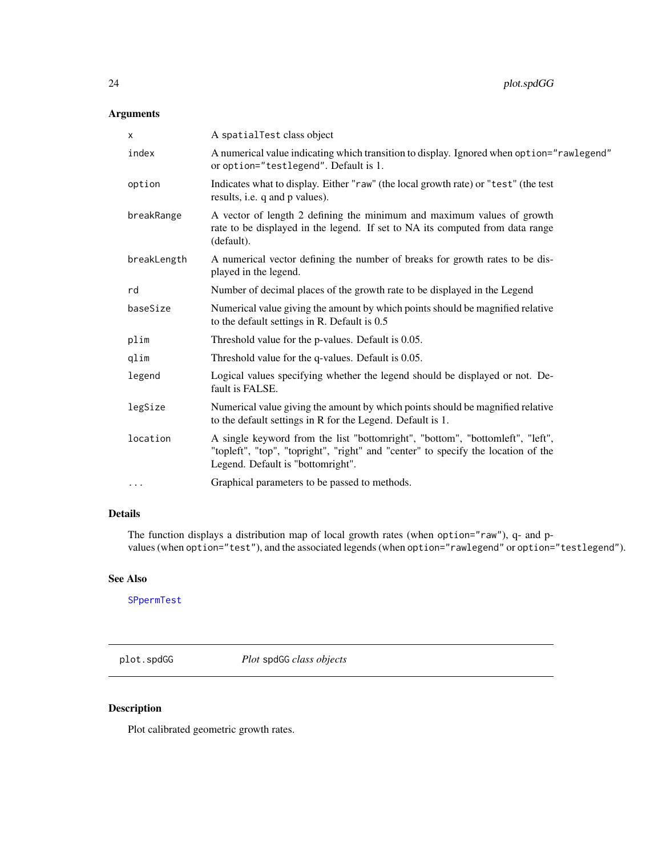## <span id="page-23-0"></span>Arguments

| x           | A spatialTest class object                                                                                                                                                                              |
|-------------|---------------------------------------------------------------------------------------------------------------------------------------------------------------------------------------------------------|
| index       | A numerical value indicating which transition to display. Ignored when option="rawlegend"<br>or option="testlegend". Default is 1.                                                                      |
| option      | Indicates what to display. Either "raw" (the local growth rate) or "test" (the test<br>results, i.e. q and p values).                                                                                   |
| breakRange  | A vector of length 2 defining the minimum and maximum values of growth<br>rate to be displayed in the legend. If set to NA its computed from data range<br>(default).                                   |
| breakLength | A numerical vector defining the number of breaks for growth rates to be dis-<br>played in the legend.                                                                                                   |
| rd          | Number of decimal places of the growth rate to be displayed in the Legend                                                                                                                               |
| baseSize    | Numerical value giving the amount by which points should be magnified relative<br>to the default settings in R. Default is 0.5                                                                          |
| plim        | Threshold value for the p-values. Default is 0.05.                                                                                                                                                      |
| qlim        | Threshold value for the q-values. Default is 0.05.                                                                                                                                                      |
| legend      | Logical values specifying whether the legend should be displayed or not. De-<br>fault is FALSE.                                                                                                         |
| legSize     | Numerical value giving the amount by which points should be magnified relative<br>to the default settings in R for the Legend. Default is 1.                                                            |
| location    | A single keyword from the list "bottomright", "bottom", "bottomleft", "left",<br>"topleft", "top", "topright", "right" and "center" to specify the location of the<br>Legend. Default is "bottomright". |
| $\cdots$    | Graphical parameters to be passed to methods.                                                                                                                                                           |
|             |                                                                                                                                                                                                         |

## Details

The function displays a distribution map of local growth rates (when option="raw"), q- and pvalues (when option="test"), and the associated legends (when option="rawlegend" or option="testlegend").

## See Also

[SPpermTest](#page-31-1)

plot.spdGG *Plot* spdGG *class objects*

## Description

Plot calibrated geometric growth rates.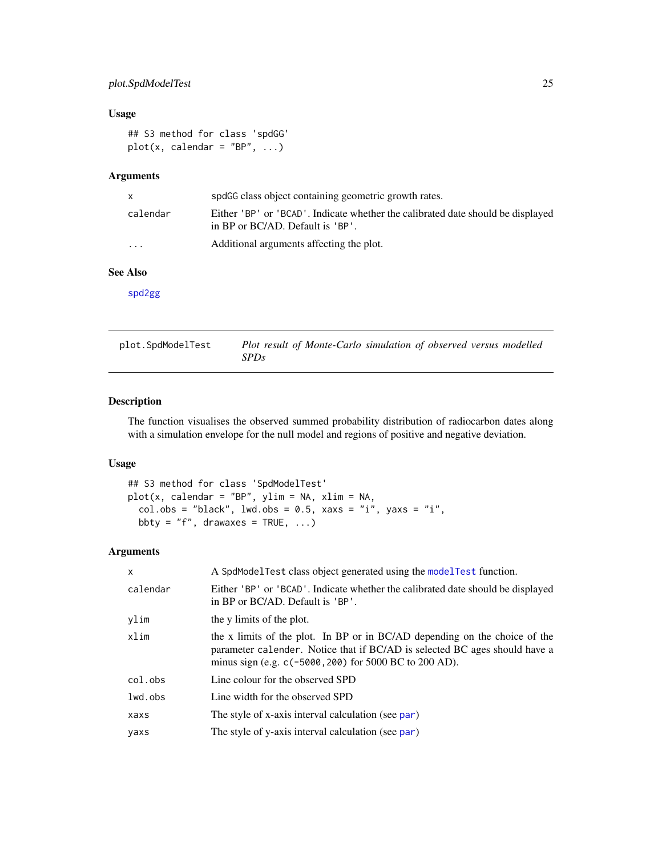## <span id="page-24-0"></span>plot.SpdModelTest 25

## Usage

```
## S3 method for class 'spdGG'
plot(x, calendar = "BP", ...)
```
## Arguments

| $\mathsf{x}$ | spdGG class object containing geometric growth rates.                                                               |
|--------------|---------------------------------------------------------------------------------------------------------------------|
| calendar     | Either 'BP' or 'BCAD'. Indicate whether the calibrated date should be displayed<br>in BP or BC/AD. Default is 'BP'. |
| $\cdots$     | Additional arguments affecting the plot.                                                                            |

## See Also

[spd2gg](#page-30-1)

<span id="page-24-1"></span>plot.SpdModelTest *Plot result of Monte-Carlo simulation of observed versus modelled SPDs*

## Description

The function visualises the observed summed probability distribution of radiocarbon dates along with a simulation envelope for the null model and regions of positive and negative deviation.

## Usage

```
## S3 method for class 'SpdModelTest'
plot(x, calendar = "BP", ylim = NA, xlim = NA,
 col.obs = "black", lwd.obs = 0.5, xaxs = "i", yaxs = "i",
 bbty = "f", drawaxes = TRUE, ...)
```

| $\mathsf{x}$ | A SpdModelTest class object generated using the modelTest function.                                                                                                                                                |
|--------------|--------------------------------------------------------------------------------------------------------------------------------------------------------------------------------------------------------------------|
| calendar     | Either 'BP' or 'BCAD'. Indicate whether the calibrated date should be displayed<br>in BP or BC/AD. Default is 'BP'.                                                                                                |
| ylim         | the y limits of the plot.                                                                                                                                                                                          |
| xlim         | the x limits of the plot. In BP or in BC/AD depending on the choice of the<br>parameter calender. Notice that if BC/AD is selected BC ages should have a<br>minus sign (e.g. c(-5000, 200) for 5000 BC to 200 AD). |
| col.obs      | Line colour for the observed SPD                                                                                                                                                                                   |
| lwd.obs      | Line width for the observed SPD                                                                                                                                                                                    |
| xaxs         | The style of x-axis interval calculation (see par)                                                                                                                                                                 |
| yaxs         | The style of y-axis interval calculation (see par)                                                                                                                                                                 |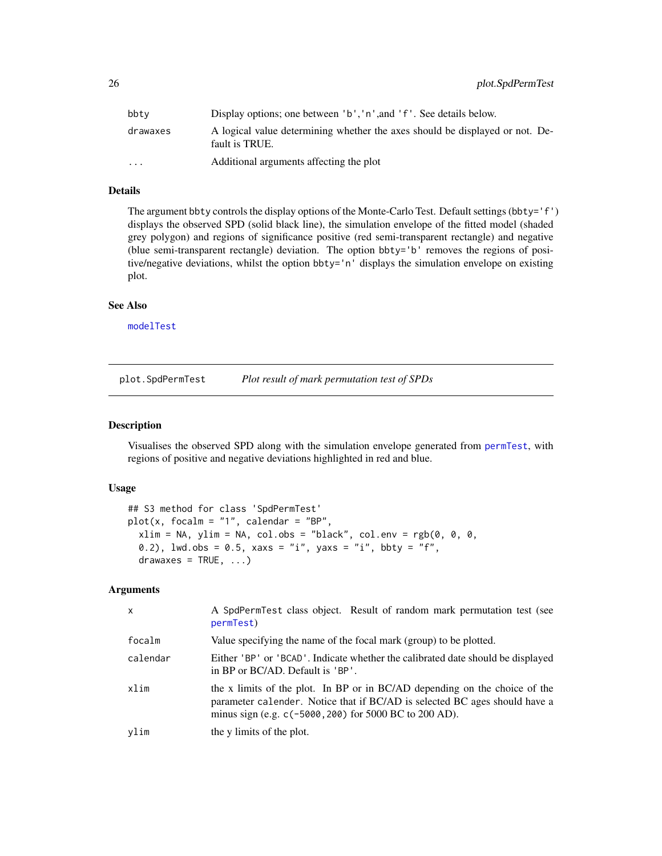<span id="page-25-0"></span>

| bbty                    | Display options; one between 'b', 'n', and 'f'. See details below.                             |
|-------------------------|------------------------------------------------------------------------------------------------|
| drawaxes                | A logical value determining whether the axes should be displayed or not. De-<br>fault is TRUE. |
| $\cdot$ $\cdot$ $\cdot$ | Additional arguments affecting the plot                                                        |

## Details

The argument bbty controls the display options of the Monte-Carlo Test. Default settings (bbty='f') displays the observed SPD (solid black line), the simulation envelope of the fitted model (shaded grey polygon) and regions of significance positive (red semi-transparent rectangle) and negative (blue semi-transparent rectangle) deviation. The option bbty='b' removes the regions of positive/negative deviations, whilst the option bbty='n' displays the simulation envelope on existing plot.

#### See Also

[modelTest](#page-13-1)

plot.SpdPermTest *Plot result of mark permutation test of SPDs*

#### Description

Visualises the observed SPD along with the simulation envelope generated from [permTest](#page-17-1), with regions of positive and negative deviations highlighted in red and blue.

#### Usage

```
## S3 method for class 'SpdPermTest'
plot(x, focalm = "1", calendar = "BP",xlim = NA, ylim = NA, col.obs = "black", col.env = rgb(0, 0, 0,0.2), lwd.obs = 0.5, xaxs = "i", yaxs = "i", bby = "f",drawaxes = TRUE, ...)
```

| $\times$ | A SpdPermTest class object. Result of random mark permutation test (see<br>permTest)                                                                                                                               |
|----------|--------------------------------------------------------------------------------------------------------------------------------------------------------------------------------------------------------------------|
| focalm   | Value specifying the name of the focal mark (group) to be plotted.                                                                                                                                                 |
| calendar | Either 'BP' or 'BCAD'. Indicate whether the calibrated date should be displayed<br>in BP or BC/AD. Default is 'BP'.                                                                                                |
| xlim     | the x limits of the plot. In BP or in BC/AD depending on the choice of the<br>parameter calender. Notice that if BC/AD is selected BC ages should have a<br>minus sign (e.g. c(-5000, 200) for 5000 BC to 200 AD). |
| vlim     | the y limits of the plot.                                                                                                                                                                                          |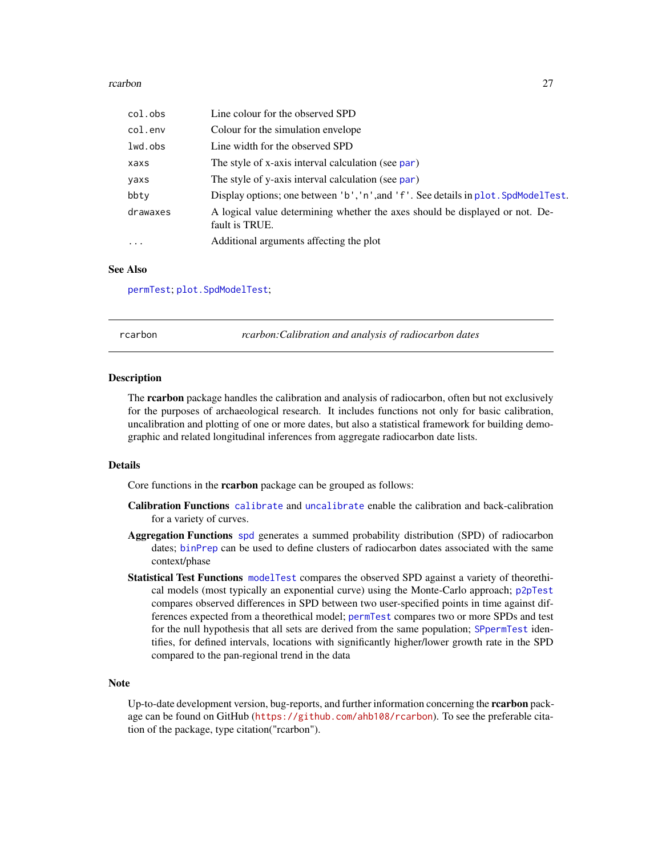#### <span id="page-26-0"></span>rcarbon 27

| col.obs   | Line colour for the observed SPD                                                               |
|-----------|------------------------------------------------------------------------------------------------|
| col.env   | Colour for the simulation envelope                                                             |
| lwd.obs   | Line width for the observed SPD                                                                |
| xaxs      | The style of x-axis interval calculation (see par)                                             |
| yaxs      | The style of y-axis interval calculation (see par)                                             |
| bbty      | Display options; one between 'b', 'n', and 'f'. See details in plot. SpdModelTest.             |
| drawaxes  | A logical value determining whether the axes should be displayed or not. De-<br>fault is TRUE. |
| $\ddotsc$ | Additional arguments affecting the plot                                                        |

### See Also

[permTest](#page-17-1); [plot.SpdModelTest](#page-24-1);

rcarbon *rcarbon:Calibration and analysis of radiocarbon dates*

#### Description

The **rearbon** package handles the calibration and analysis of radiocarbon, often but not exclusively for the purposes of archaeological research. It includes functions not only for basic calibration, uncalibration and plotting of one or more dates, but also a statistical framework for building demographic and related longitudinal inferences from aggregate radiocarbon date lists.

## Details

Core functions in the rcarbon package can be grouped as follows:

- Calibration Functions [calibrate](#page-7-1) and [uncalibrate](#page-36-1) enable the calibration and back-calibration for a variety of curves.
- Aggregation Functions [spd](#page-29-1) generates a summed probability distribution (SPD) of radiocarbon dates; [binPrep](#page-5-1) can be used to define clusters of radiocarbon dates associated with the same context/phase
- Statistical Test Functions [modelTest](#page-13-1) compares the observed SPD against a variety of theorethical models (most typically an exponential curve) using the Monte-Carlo approach; [p2pTest](#page-16-1) compares observed differences in SPD between two user-specified points in time against differences expected from a theorethical model; [permTest](#page-17-1) compares two or more SPDs and test for the null hypothesis that all sets are derived from the same population; [SPpermTest](#page-31-1) identifies, for defined intervals, locations with significantly higher/lower growth rate in the SPD compared to the pan-regional trend in the data

## Note

Up-to-date development version, bug-reports, and further information concerning the **rearbon** package can be found on GitHub (<https://github.com/ahb108/rcarbon>). To see the preferable citation of the package, type citation("rcarbon").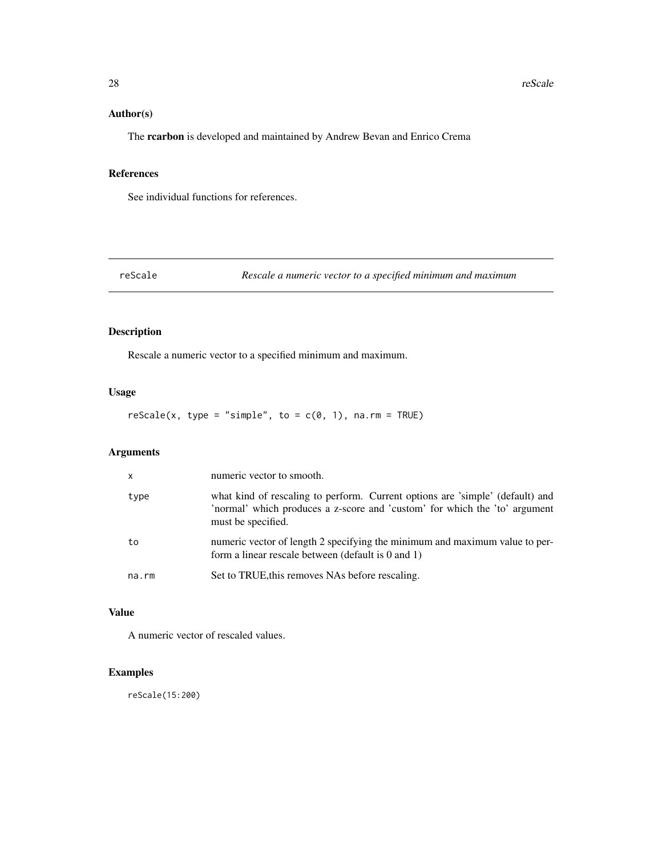## <span id="page-27-0"></span>Author(s)

The rcarbon is developed and maintained by Andrew Bevan and Enrico Crema

#### References

See individual functions for references.

reScale *Rescale a numeric vector to a specified minimum and maximum*

## Description

Rescale a numeric vector to a specified minimum and maximum.

## Usage

 $rescale(x, type = "simple", to = c(0, 1), na.rm = TRUE)$ 

## Arguments

| $\mathsf{x}$ | numeric vector to smooth.                                                                                                                                                         |
|--------------|-----------------------------------------------------------------------------------------------------------------------------------------------------------------------------------|
| type         | what kind of rescaling to perform. Current options are 'simple' (default) and<br>'normal' which produces a z-score and 'custom' for which the 'to' argument<br>must be specified. |
| to           | numeric vector of length 2 specifying the minimum and maximum value to per-<br>form a linear rescale between (default is $0$ and $1$ )                                            |
| na.rm        | Set to TRUE, this removes NAs before rescaling.                                                                                                                                   |

## Value

A numeric vector of rescaled values.

## Examples

reScale(15:200)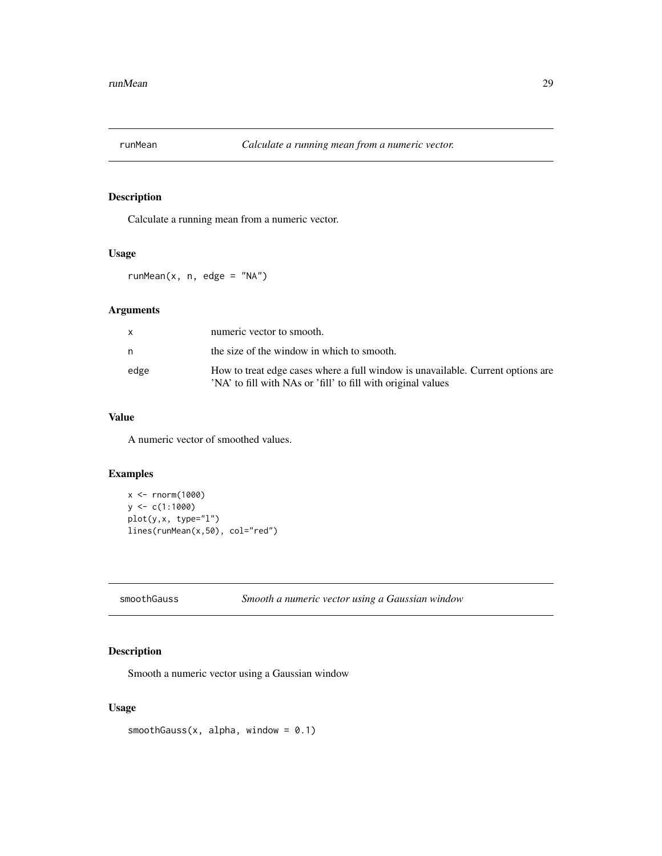<span id="page-28-0"></span>

Calculate a running mean from a numeric vector.

#### Usage

runMean $(x, n, edge = "NA")$ 

## Arguments

| x    | numeric vector to smooth.                                                                                                                       |
|------|-------------------------------------------------------------------------------------------------------------------------------------------------|
| n    | the size of the window in which to smooth.                                                                                                      |
| edge | How to treat edge cases where a full window is unavailable. Current options are<br>'NA' to fill with NAs or 'fill' to fill with original values |

## Value

A numeric vector of smoothed values.

## Examples

```
x <- rnorm(1000)
y \leftarrow c(1:1000)plot(y,x, type="l")
lines(runMean(x,50), col="red")
```
smoothGauss *Smooth a numeric vector using a Gaussian window*

## Description

Smooth a numeric vector using a Gaussian window

## Usage

 $smoothGauss(x, alpha, window = 0.1)$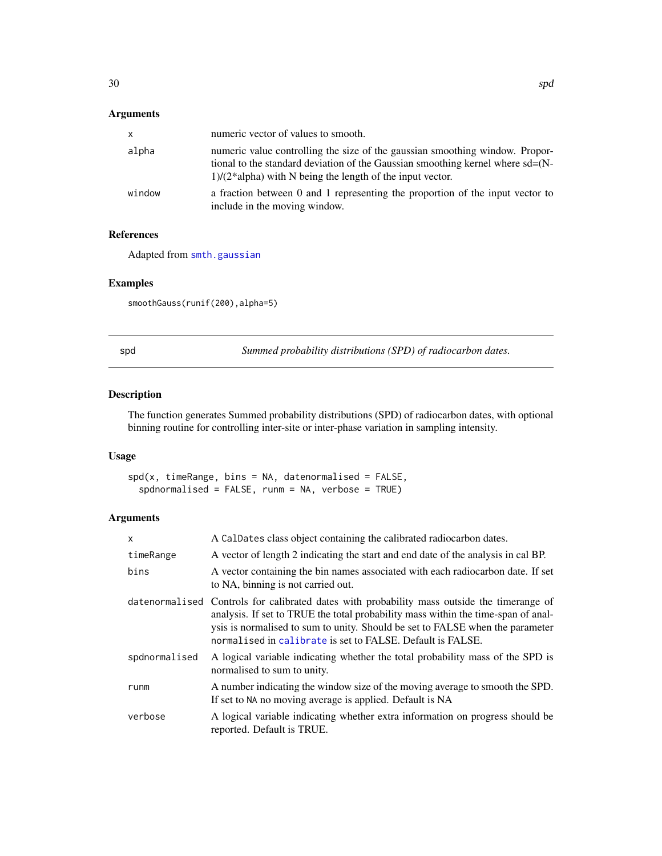## <span id="page-29-0"></span>Arguments

| $\mathsf{x}$ | numeric vector of values to smooth.                                                                                                                                                                                               |
|--------------|-----------------------------------------------------------------------------------------------------------------------------------------------------------------------------------------------------------------------------------|
| alpha        | numeric value controlling the size of the gaussian smoothing window. Propor-<br>tional to the standard deviation of the Gaussian smoothing kernel where $sd=(N-$<br>$1)/(2^*$ alpha) with N being the length of the input vector. |
| window       | a fraction between 0 and 1 representing the proportion of the input vector to<br>include in the moving window.                                                                                                                    |

## References

Adapted from [smth.gaussian](#page-0-0)

## Examples

smoothGauss(runif(200), alpha=5)

<span id="page-29-1"></span>spd *Summed probability distributions (SPD) of radiocarbon dates.*

## Description

The function generates Summed probability distributions (SPD) of radiocarbon dates, with optional binning routine for controlling inter-site or inter-phase variation in sampling intensity.

#### Usage

 $spd(x, timeRange, bins = NA, datenormalised = FALSE,$ spdnormalised = FALSE, runm = NA, verbose = TRUE)

| x             | A CalDates class object containing the calibrated radiocarbon dates.                                                                                                                                                                                                                                                            |
|---------------|---------------------------------------------------------------------------------------------------------------------------------------------------------------------------------------------------------------------------------------------------------------------------------------------------------------------------------|
| timeRange     | A vector of length 2 indicating the start and end date of the analysis in cal BP.                                                                                                                                                                                                                                               |
| bins          | A vector containing the bin names associated with each radiocarbon date. If set<br>to NA, binning is not carried out.                                                                                                                                                                                                           |
|               | datenormalised Controls for calibrated dates with probability mass outside the timerange of<br>analysis. If set to TRUE the total probability mass within the time-span of anal-<br>ysis is normalised to sum to unity. Should be set to FALSE when the parameter<br>normalised in calibrate is set to FALSE. Default is FALSE. |
| spdnormalised | A logical variable indicating whether the total probability mass of the SPD is<br>normalised to sum to unity.                                                                                                                                                                                                                   |
| runm          | A number indicating the window size of the moving average to smooth the SPD.<br>If set to NA no moving average is applied. Default is NA                                                                                                                                                                                        |
| verbose       | A logical variable indicating whether extra information on progress should be<br>reported. Default is TRUE.                                                                                                                                                                                                                     |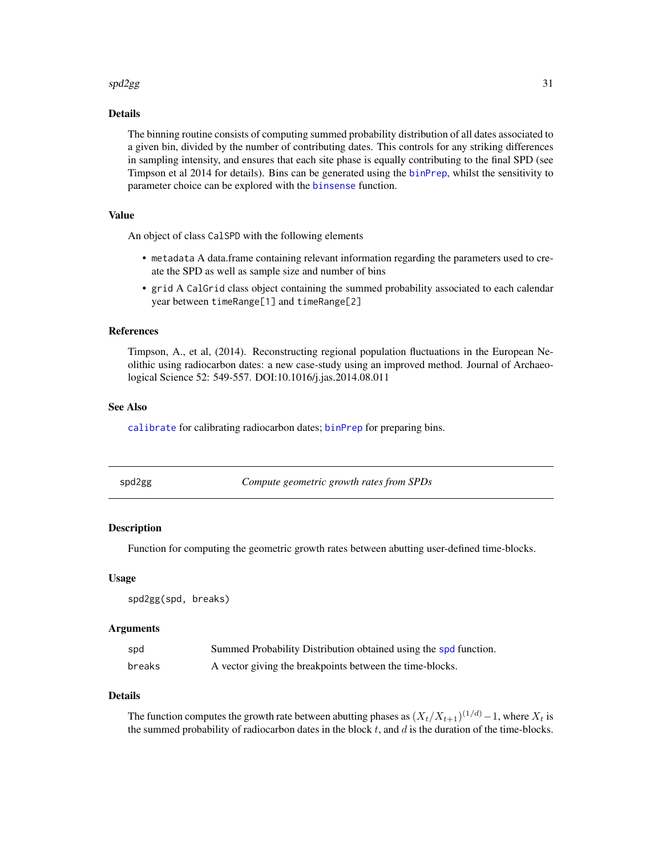#### <span id="page-30-0"></span> $sd2gg$  31

## Details

The binning routine consists of computing summed probability distribution of all dates associated to a given bin, divided by the number of contributing dates. This controls for any striking differences in sampling intensity, and ensures that each site phase is equally contributing to the final SPD (see Timpson et al 2014 for details). Bins can be generated using the [binPrep](#page-5-1), whilst the sensitivity to parameter choice can be explored with the [binsense](#page-6-1) function.

## Value

An object of class CalSPD with the following elements

- metadata A data.frame containing relevant information regarding the parameters used to create the SPD as well as sample size and number of bins
- grid A CalGrid class object containing the summed probability associated to each calendar year between timeRange[1] and timeRange[2]

#### References

Timpson, A., et al, (2014). Reconstructing regional population fluctuations in the European Neolithic using radiocarbon dates: a new case-study using an improved method. Journal of Archaeological Science 52: 549-557. DOI:10.1016/j.jas.2014.08.011

## See Also

[calibrate](#page-7-1) for calibrating radiocarbon dates; [binPrep](#page-5-1) for preparing bins.

<span id="page-30-1"></span>

| spd2gg | Compute geometric growth rates from SPDs |  |
|--------|------------------------------------------|--|
|--------|------------------------------------------|--|

## **Description**

Function for computing the geometric growth rates between abutting user-defined time-blocks.

#### Usage

spd2gg(spd, breaks)

## Arguments

| spd    | Summed Probability Distribution obtained using the spd function. |
|--------|------------------------------------------------------------------|
| breaks | A vector giving the breakpoints between the time-blocks.         |

## Details

The function computes the growth rate between abutting phases as  $(X_t/X_{t+1})^{(1/d)} - 1$ , where  $X_t$  is the summed probability of radiocarbon dates in the block  $t$ , and  $d$  is the duration of the time-blocks.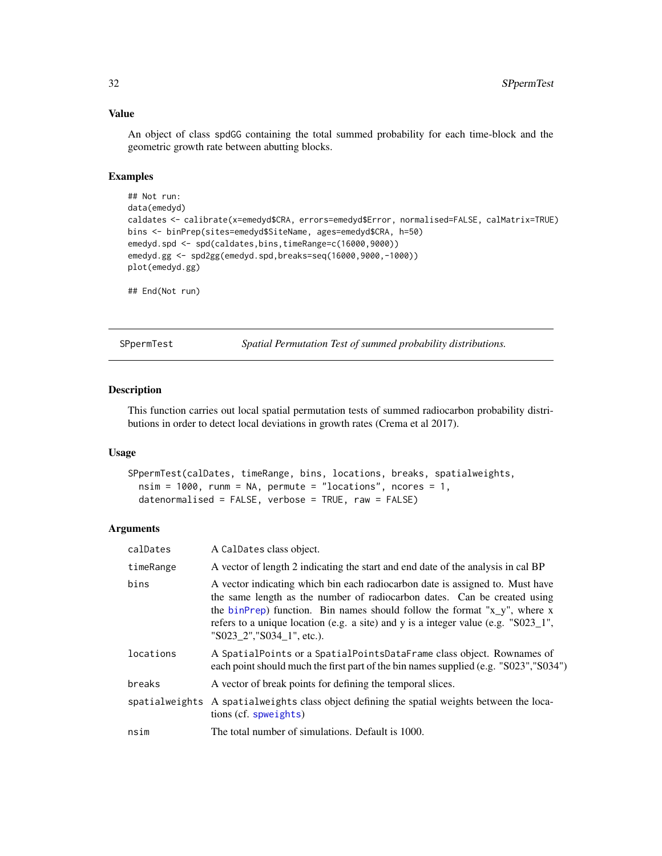## Value

An object of class spdGG containing the total summed probability for each time-block and the geometric growth rate between abutting blocks.

## Examples

```
## Not run:
data(emedyd)
caldates <- calibrate(x=emedyd$CRA, errors=emedyd$Error, normalised=FALSE, calMatrix=TRUE)
bins <- binPrep(sites=emedyd$SiteName, ages=emedyd$CRA, h=50)
emedyd.spd <- spd(caldates,bins,timeRange=c(16000,9000))
emedyd.gg <- spd2gg(emedyd.spd,breaks=seq(16000,9000,-1000))
plot(emedyd.gg)
## End(Not run)
```
<span id="page-31-1"></span>SPpermTest *Spatial Permutation Test of summed probability distributions.*

#### Description

This function carries out local spatial permutation tests of summed radiocarbon probability distributions in order to detect local deviations in growth rates (Crema et al 2017).

#### Usage

```
SPpermTest(calDates, timeRange, bins, locations, breaks, spatialweights,
 nsim = 1000, runm = NA, permute = "locations", ncores = 1,
  datenormalised = FALSE, verbose = TRUE, raw = FALSE)
```

| calDates  | A CalDates class object.                                                                                                                                                                                                                                                                                                                                  |
|-----------|-----------------------------------------------------------------------------------------------------------------------------------------------------------------------------------------------------------------------------------------------------------------------------------------------------------------------------------------------------------|
| timeRange | A vector of length 2 indicating the start and end date of the analysis in cal BP                                                                                                                                                                                                                                                                          |
| bins      | A vector indicating which bin each radiocarbon date is assigned to. Must have<br>the same length as the number of radiocarbon dates. Can be created using<br>the binPrep) function. Bin names should follow the format "x_y", where x<br>refers to a unique location (e.g. a site) and y is a integer value (e.g. "S023_1",<br>"S023 2", "S034 1", etc.). |
| locations | A SpatialPoints or a SpatialPointsDataFrame class object. Rownames of<br>each point should much the first part of the bin names supplied (e.g. "S023", "S034")                                                                                                                                                                                            |
| breaks    | A vector of break points for defining the temporal slices.                                                                                                                                                                                                                                                                                                |
|           | spatialweights A spatialweights class object defining the spatial weights between the loca-<br>tions (cf. spweights)                                                                                                                                                                                                                                      |
| nsim      | The total number of simulations. Default is 1000.                                                                                                                                                                                                                                                                                                         |

<span id="page-31-0"></span>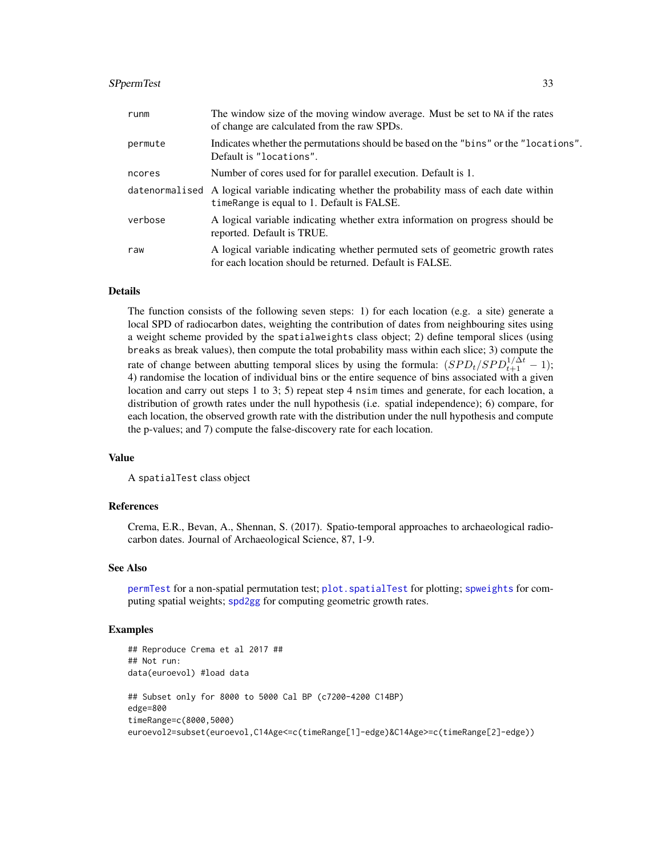### <span id="page-32-0"></span>SPpermTest 33

| runm    | The window size of the moving window average. Must be set to NA if the rates<br>of change are calculated from the raw SPDs.                    |
|---------|------------------------------------------------------------------------------------------------------------------------------------------------|
| permute | Indicates whether the permutations should be based on the "bins" or the "locations".<br>Default is "locations".                                |
| ncores  | Number of cores used for for parallel execution. Default is 1.                                                                                 |
|         | date normal ised A logical variable indicating whether the probability mass of each date within<br>time Range is equal to 1. Default is FALSE. |
| verbose | A logical variable indicating whether extra information on progress should be<br>reported. Default is TRUE.                                    |
| raw     | A logical variable indicating whether permuted sets of geometric growth rates<br>for each location should be returned. Default is FALSE.       |

## Details

The function consists of the following seven steps: 1) for each location (e.g. a site) generate a local SPD of radiocarbon dates, weighting the contribution of dates from neighbouring sites using a weight scheme provided by the spatialweights class object; 2) define temporal slices (using breaks as break values), then compute the total probability mass within each slice; 3) compute the rate of change between abutting temporal slices by using the formula:  $(SPD_t/SPD_{t+1}^{1/\Delta t} - 1)$ ; 4) randomise the location of individual bins or the entire sequence of bins associated with a given location and carry out steps 1 to 3; 5) repeat step 4 nsim times and generate, for each location, a distribution of growth rates under the null hypothesis (i.e. spatial independence); 6) compare, for each location, the observed growth rate with the distribution under the null hypothesis and compute the p-values; and 7) compute the false-discovery rate for each location.

## Value

A spatialTest class object

## References

Crema, E.R., Bevan, A., Shennan, S. (2017). Spatio-temporal approaches to archaeological radiocarbon dates. Journal of Archaeological Science, 87, 1-9.

#### See Also

[permTest](#page-17-1) for a non-spatial permutation test; [plot.spatialTest](#page-22-1) for plotting; [spweights](#page-33-1) for computing spatial weights; [spd2gg](#page-30-1) for computing geometric growth rates.

#### Examples

```
## Reproduce Crema et al 2017 ##
## Not run:
data(euroevol) #load data
## Subset only for 8000 to 5000 Cal BP (c7200-4200 C14BP)
edge=800
timeRange=c(8000,5000)
euroevol2=subset(euroevol,C14Age<=c(timeRange[1]-edge)&C14Age>=c(timeRange[2]-edge))
```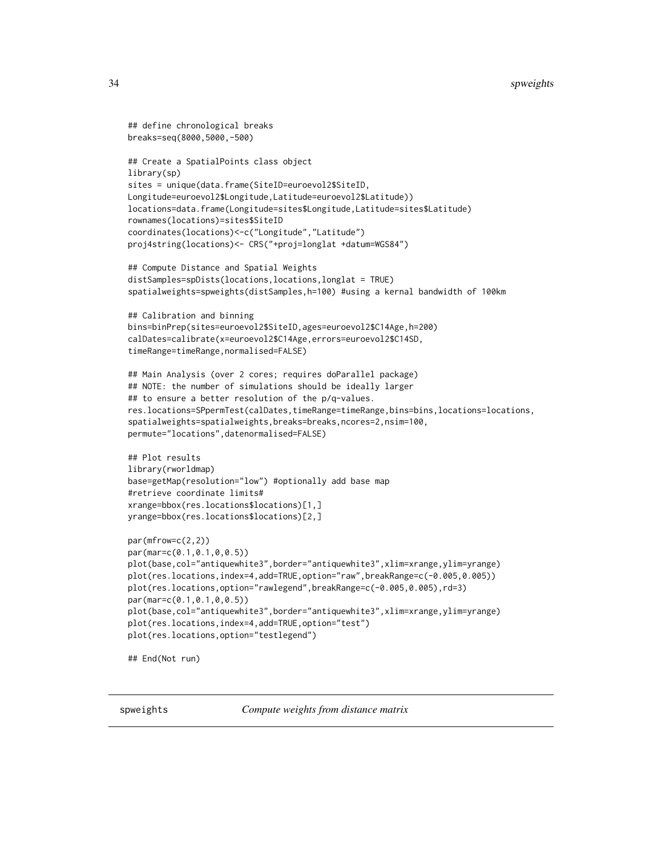```
## define chronological breaks
breaks=seq(8000,5000,-500)
## Create a SpatialPoints class object
library(sp)
sites = unique(data.frame(SiteID=euroevol2$SiteID,
Longitude=euroevol2$Longitude,Latitude=euroevol2$Latitude))
locations=data.frame(Longitude=sites$Longitude,Latitude=sites$Latitude)
rownames(locations)=sites$SiteID
coordinates(locations)<-c("Longitude","Latitude")
proj4string(locations)<- CRS("+proj=longlat +datum=WGS84")
## Compute Distance and Spatial Weights
distSamples=spDists(locations,locations,longlat = TRUE)
spatialweights=spweights(distSamples,h=100) #using a kernal bandwidth of 100km
## Calibration and binning
bins=binPrep(sites=euroevol2$SiteID,ages=euroevol2$C14Age,h=200)
calDates=calibrate(x=euroevol2$C14Age,errors=euroevol2$C14SD,
timeRange=timeRange,normalised=FALSE)
## Main Analysis (over 2 cores; requires doParallel package)
## NOTE: the number of simulations should be ideally larger
## to ensure a better resolution of the p/q-values.
res.locations=SPpermTest(calDates,timeRange=timeRange,bins=bins,locations=locations,
spatialweights=spatialweights,breaks=breaks,ncores=2,nsim=100,
permute="locations",datenormalised=FALSE)
## Plot results
library(rworldmap)
base=getMap(resolution="low") #optionally add base map
#retrieve coordinate limits#
xrange=bbox(res.locations$locations)[1,]
yrange=bbox(res.locations$locations)[2,]
par(mfrow=c(2,2))
par(mar=c(0.1,0.1,0,0.5))
plot(base,col="antiquewhite3",border="antiquewhite3",xlim=xrange,ylim=yrange)
plot(res.locations,index=4,add=TRUE,option="raw",breakRange=c(-0.005,0.005))
plot(res.locations,option="rawlegend",breakRange=c(-0.005,0.005),rd=3)
par(mar=c(0.1,0.1,0,0.5))
plot(base,col="antiquewhite3",border="antiquewhite3",xlim=xrange,ylim=yrange)
plot(res.locations,index=4,add=TRUE,option="test")
plot(res.locations,option="testlegend")
## End(Not run)
```
<span id="page-33-1"></span>spweights *Compute weights from distance matrix*

<span id="page-33-0"></span>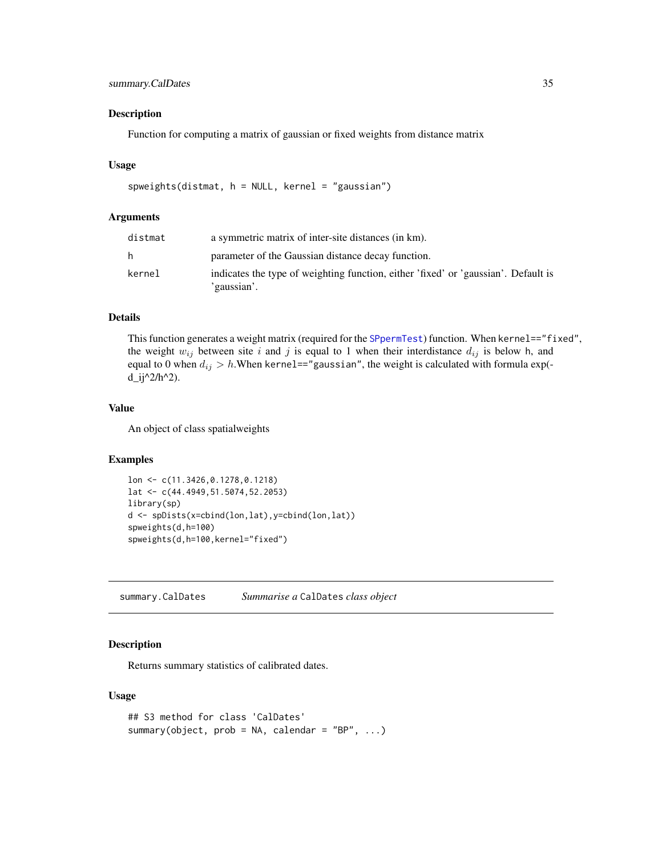## <span id="page-34-0"></span>summary.CalDates 35

#### Description

Function for computing a matrix of gaussian or fixed weights from distance matrix

#### Usage

```
spweights(distmat, h = NULL, kernel = "gaussian")
```
## Arguments

| distmat | a symmetric matrix of inter-site distances (in km).                                               |
|---------|---------------------------------------------------------------------------------------------------|
| h.      | parameter of the Gaussian distance decay function.                                                |
| kernel  | indicates the type of weighting function, either 'fixed' or 'gaussian'. Default is<br>'gaussian'. |

## Details

This function generates a weight matrix (required for the [SPpermTest](#page-31-1)) function. When kernel=="fixed", the weight  $w_{ij}$  between site i and j is equal to 1 when their interdistance  $d_{ij}$  is below h, and equal to 0 when  $d_{ij} > h$ . When kernel=="gaussian", the weight is calculated with formula exp( $d_{ij}^2/h^2$ .

#### Value

An object of class spatialweights

#### Examples

```
lon <- c(11.3426,0.1278,0.1218)
lat <- c(44.4949,51.5074,52.2053)
library(sp)
d <- spDists(x=cbind(lon,lat),y=cbind(lon,lat))
spweights(d,h=100)
spweights(d,h=100,kernel="fixed")
```
summary.CalDates *Summarise a* CalDates *class object*

#### Description

Returns summary statistics of calibrated dates.

## Usage

```
## S3 method for class 'CalDates'
summary(object, prob = NA, calendar = "BP", ...)
```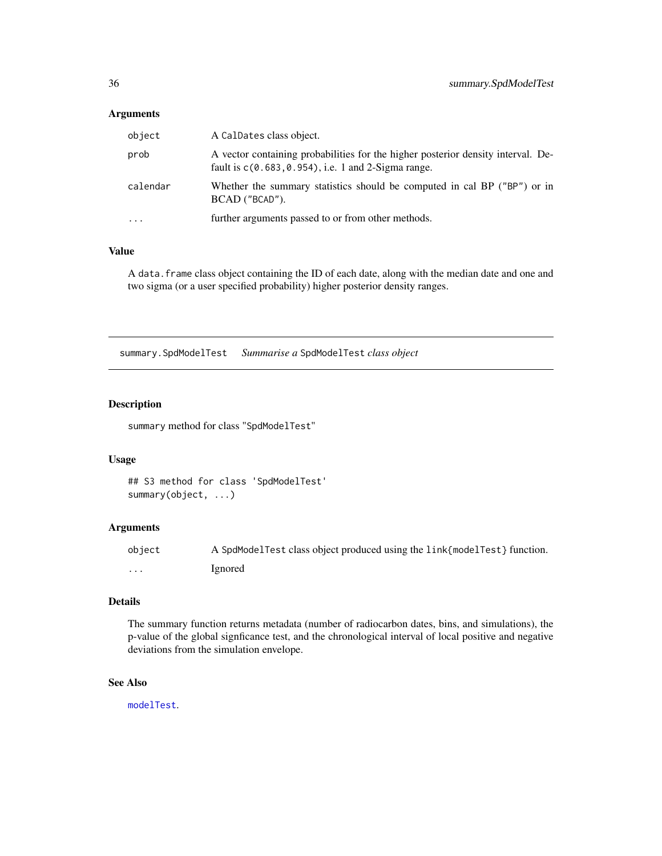#### <span id="page-35-0"></span>Arguments

| object    | A CalDates class object.                                                                                                                   |
|-----------|--------------------------------------------------------------------------------------------------------------------------------------------|
| prob      | A vector containing probabilities for the higher posterior density interval. De-<br>fault is $c(0.683, 0.954)$ , i.e. 1 and 2-Sigma range. |
| calendar  | Whether the summary statistics should be computed in cal BP ("BP") or in<br>BCAD ("BCAD").                                                 |
| $\ddotsc$ | further arguments passed to or from other methods.                                                                                         |

## Value

A data.frame class object containing the ID of each date, along with the median date and one and two sigma (or a user specified probability) higher posterior density ranges.

summary.SpdModelTest *Summarise a* SpdModelTest *class object*

## Description

summary method for class "SpdModelTest"

#### Usage

```
## S3 method for class 'SpdModelTest'
summary(object, ...)
```
#### Arguments

| obiect   | A SpdModelTest class object produced using the link{modelTest} function. |
|----------|--------------------------------------------------------------------------|
| $\cdots$ | Ignored                                                                  |

## Details

The summary function returns metadata (number of radiocarbon dates, bins, and simulations), the p-value of the global signficance test, and the chronological interval of local positive and negative deviations from the simulation envelope.

## See Also

[modelTest](#page-13-1).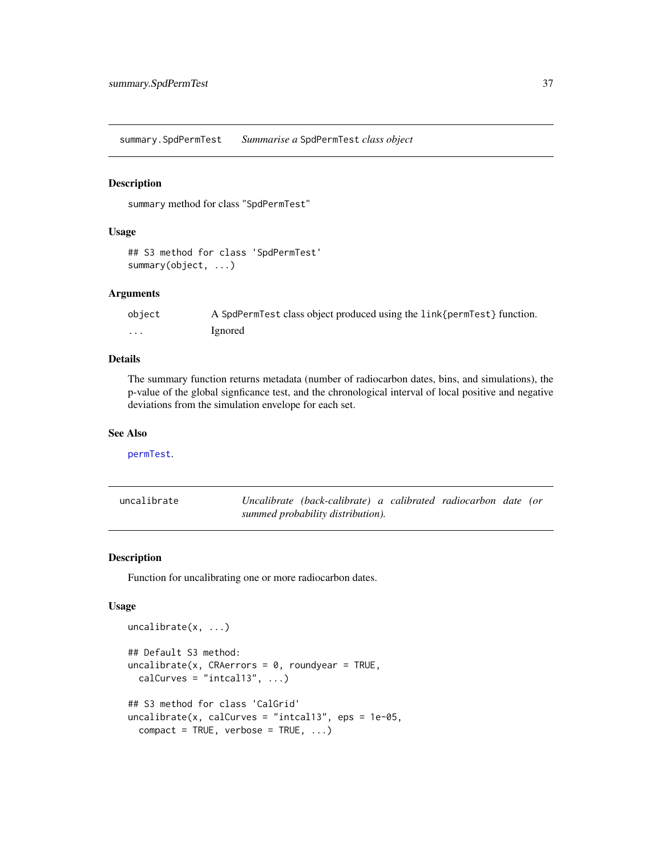<span id="page-36-0"></span>summary.SpdPermTest *Summarise a* SpdPermTest *class object*

## Description

summary method for class "SpdPermTest"

## Usage

```
## S3 method for class 'SpdPermTest'
summary(object, ...)
```
#### Arguments

| object | A SpdPermTest class object produced using the link{permTest} function. |
|--------|------------------------------------------------------------------------|
| .      | Ignored                                                                |

#### Details

The summary function returns metadata (number of radiocarbon dates, bins, and simulations), the p-value of the global signficance test, and the chronological interval of local positive and negative deviations from the simulation envelope for each set.

## See Also

[permTest](#page-17-1).

<span id="page-36-1"></span>

| uncalibrate | Uncalibrate (back-calibrate) a calibrated radiocarbon date (or |  |  |
|-------------|----------------------------------------------------------------|--|--|
|             | summed probability distribution).                              |  |  |

#### Description

Function for uncalibrating one or more radiocarbon dates.

## Usage

```
uncalibrate(x, ...)
## Default S3 method:
uncalibrate(x, CRAerrors = 0, roundyear = TRUE,calCurves = "intcal13", \ldots)
## S3 method for class 'CalGrid'
uncalibrate(x, calCurves = "intcal13", eps = 1e-05,
  compact = TRUE, verbose = TRUE, ...)
```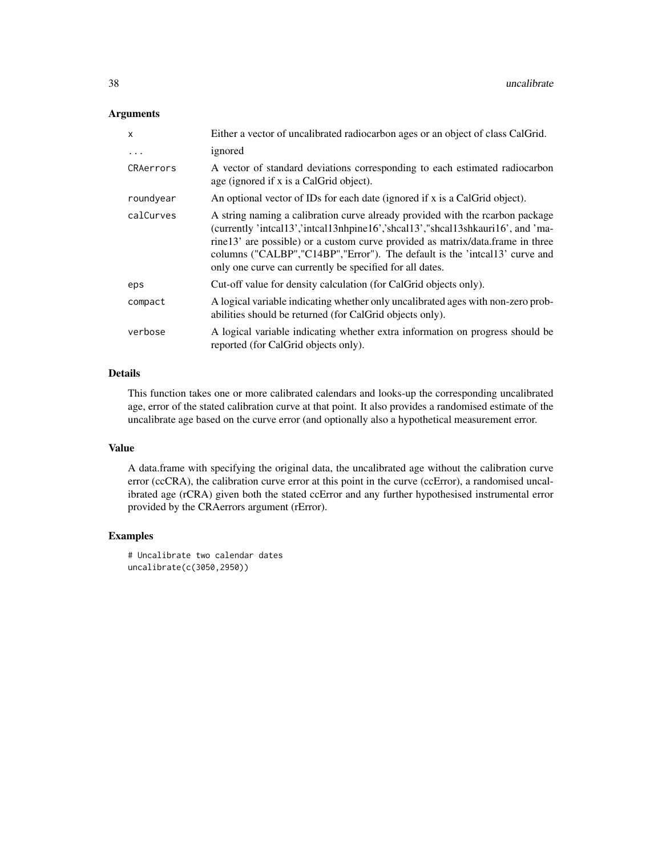## Arguments

| $\mathsf{x}$ | Either a vector of uncalibrated radiocarbon ages or an object of class CalGrid.                                                                                                                                                                                                                                                                                                              |
|--------------|----------------------------------------------------------------------------------------------------------------------------------------------------------------------------------------------------------------------------------------------------------------------------------------------------------------------------------------------------------------------------------------------|
| $\ddots$     | ignored                                                                                                                                                                                                                                                                                                                                                                                      |
| CRAerrors    | A vector of standard deviations corresponding to each estimated radiocarbon<br>age (ignored if x is a CalGrid object).                                                                                                                                                                                                                                                                       |
| roundyear    | An optional vector of IDs for each date (ignored if x is a CalGrid object).                                                                                                                                                                                                                                                                                                                  |
| calCurves    | A string naming a calibration curve already provided with the rearbon package<br>(currently 'inteal13','inteal13nhpine16','sheal13',"sheal13shkauri16', and 'ma-<br>rine13' are possible) or a custom curve provided as matrix/data.frame in three<br>columns ("CALBP","C14BP","Error"). The default is the 'intcal13' curve and<br>only one curve can currently be specified for all dates. |
| eps          | Cut-off value for density calculation (for CalGrid objects only).                                                                                                                                                                                                                                                                                                                            |
| compact      | A logical variable indicating whether only uncalibrated ages with non-zero prob-<br>abilities should be returned (for CalGrid objects only).                                                                                                                                                                                                                                                 |
| verbose      | A logical variable indicating whether extra information on progress should be<br>reported (for CalGrid objects only).                                                                                                                                                                                                                                                                        |

## Details

This function takes one or more calibrated calendars and looks-up the corresponding uncalibrated age, error of the stated calibration curve at that point. It also provides a randomised estimate of the uncalibrate age based on the curve error (and optionally also a hypothetical measurement error.

#### Value

A data.frame with specifying the original data, the uncalibrated age without the calibration curve error (ccCRA), the calibration curve error at this point in the curve (ccError), a randomised uncalibrated age (rCRA) given both the stated ccError and any further hypothesised instrumental error provided by the CRAerrors argument (rError).

## Examples

```
# Uncalibrate two calendar dates
uncalibrate(c(3050,2950))
```